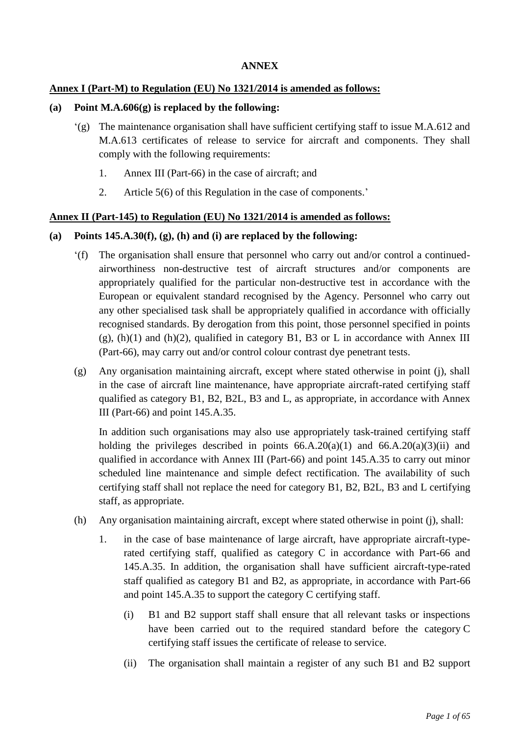### **ANNEX**

### **Annex I (Part-M) to Regulation (EU) No 1321/2014 is amended as follows:**

#### **(a) Point M.A.606(g) is replaced by the following:**

- '(g) The maintenance organisation shall have sufficient certifying staff to issue M.A.612 and M.A.613 certificates of release to service for aircraft and components. They shall comply with the following requirements:
	- 1. Annex III (Part-66) in the case of aircraft; and
	- 2. Article 5(6) of this Regulation in the case of components.'

### **Annex II (Part-145) to Regulation (EU) No 1321/2014 is amended as follows:**

### **(a) Points 145.A.30(f), (g), (h) and (i) are replaced by the following:**

- '(f) The organisation shall ensure that personnel who carry out and/or control a continuedairworthiness non-destructive test of aircraft structures and/or components are appropriately qualified for the particular non-destructive test in accordance with the European or equivalent standard recognised by the Agency. Personnel who carry out any other specialised task shall be appropriately qualified in accordance with officially recognised standards. By derogation from this point, those personnel specified in points  $(g)$ ,  $(h)(1)$  and  $(h)(2)$ , qualified in category B1, B3 or L in accordance with Annex III (Part-66), may carry out and/or control colour contrast dye penetrant tests.
- (g) Any organisation maintaining aircraft, except where stated otherwise in point (j), shall in the case of aircraft line maintenance, have appropriate aircraft-rated certifying staff qualified as category B1, B2, B2L, B3 and L, as appropriate, in accordance with Annex III (Part-66) and point 145.A.35.

In addition such organisations may also use appropriately task-trained certifying staff holding the privileges described in points  $66.A.20(a)(1)$  and  $66.A.20(a)(3)(ii)$  and qualified in accordance with Annex III (Part-66) and point 145.A.35 to carry out minor scheduled line maintenance and simple defect rectification. The availability of such certifying staff shall not replace the need for category B1, B2, B2L, B3 and L certifying staff, as appropriate.

- (h) Any organisation maintaining aircraft, except where stated otherwise in point (j), shall:
	- 1. in the case of base maintenance of large aircraft, have appropriate aircraft-typerated certifying staff, qualified as category C in accordance with Part-66 and 145.A.35. In addition, the organisation shall have sufficient aircraft-type-rated staff qualified as category B1 and B2, as appropriate, in accordance with Part-66 and point 145.A.35 to support the category C certifying staff.
		- (i) B1 and B2 support staff shall ensure that all relevant tasks or inspections have been carried out to the required standard before the category C certifying staff issues the certificate of release to service.
		- (ii) The organisation shall maintain a register of any such B1 and B2 support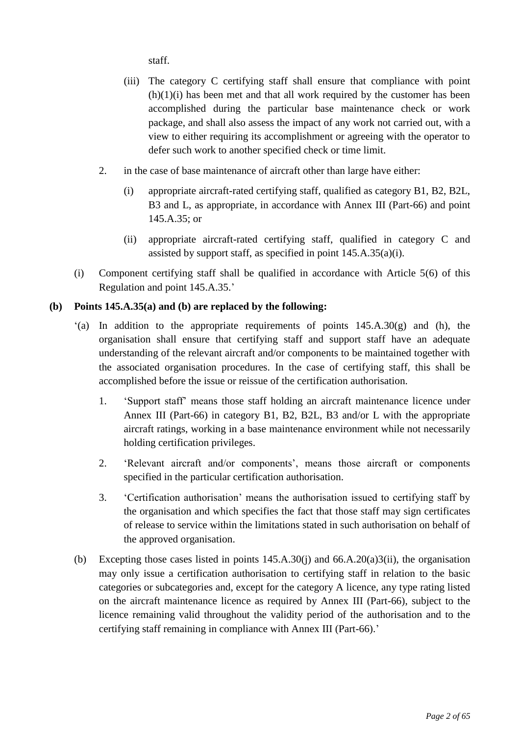staff.

- (iii) The category C certifying staff shall ensure that compliance with point  $(h)(1)(i)$  has been met and that all work required by the customer has been accomplished during the particular base maintenance check or work package, and shall also assess the impact of any work not carried out, with a view to either requiring its accomplishment or agreeing with the operator to defer such work to another specified check or time limit.
- 2. in the case of base maintenance of aircraft other than large have either:
	- (i) appropriate aircraft-rated certifying staff, qualified as category B1, B2, B2L, B3 and L, as appropriate, in accordance with Annex III (Part-66) and point 145.A.35; or
	- (ii) appropriate aircraft-rated certifying staff, qualified in category C and assisted by support staff, as specified in point 145.A.35(a)(i).
- (i) Component certifying staff shall be qualified in accordance with Article 5(6) of this Regulation and point 145.A.35.'

### **(b) Points 145.A.35(a) and (b) are replaced by the following:**

- $(a)$  In addition to the appropriate requirements of points  $145.A.30(g)$  and (h), the organisation shall ensure that certifying staff and support staff have an adequate understanding of the relevant aircraft and/or components to be maintained together with the associated organisation procedures. In the case of certifying staff, this shall be accomplished before the issue or reissue of the certification authorisation.
	- 1. 'Support staff' means those staff holding an aircraft maintenance licence under Annex III (Part-66) in category B1, B2, B2L, B3 and/or L with the appropriate aircraft ratings, working in a base maintenance environment while not necessarily holding certification privileges.
	- 2. 'Relevant aircraft and/or components', means those aircraft or components specified in the particular certification authorisation.
	- 3. 'Certification authorisation' means the authorisation issued to certifying staff by the organisation and which specifies the fact that those staff may sign certificates of release to service within the limitations stated in such authorisation on behalf of the approved organisation.
- (b) Excepting those cases listed in points 145.A.30(j) and 66.A.20(a)3(ii), the organisation may only issue a certification authorisation to certifying staff in relation to the basic categories or subcategories and, except for the category A licence, any type rating listed on the aircraft maintenance licence as required by Annex III (Part-66), subject to the licence remaining valid throughout the validity period of the authorisation and to the certifying staff remaining in compliance with Annex III (Part-66).'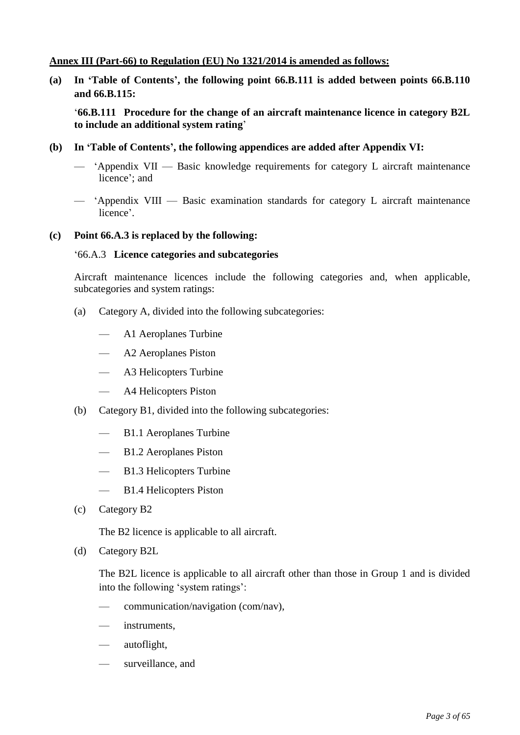### **Annex III (Part-66) to Regulation (EU) No 1321/2014 is amended as follows:**

**(a) In 'Table of Contents', the following point 66.B.111 is added between points 66.B.110 and 66.B.115:**

'**66.B.111 Procedure for the change of an aircraft maintenance licence in category B2L to include an additional system rating**'

- **(b) In 'Table of Contents', the following appendices are added after Appendix VI:**
	- 'Appendix VII Basic knowledge requirements for category L aircraft maintenance licence'; and
	- 'Appendix VIII Basic examination standards for category L aircraft maintenance licence'.

#### **(c) Point 66.A.3 is replaced by the following:**

#### '66.A.3 **Licence categories and subcategories**

Aircraft maintenance licences include the following categories and, when applicable, subcategories and system ratings:

- (a) Category A, divided into the following subcategories:
	- A1 Aeroplanes Turbine
	- A2 Aeroplanes Piston
	- A3 Helicopters Turbine
	- A4 Helicopters Piston
- (b) Category B1, divided into the following subcategories:
	- B1.1 Aeroplanes Turbine
	- B1.2 Aeroplanes Piston
	- B1.3 Helicopters Turbine
	- B1.4 Helicopters Piston
- (c) Category B2

The B2 licence is applicable to all aircraft.

(d) Category B2L

The B2L licence is applicable to all aircraft other than those in Group 1 and is divided into the following 'system ratings':

- communication/navigation (com/nav),
- instruments.
- autoflight,
- surveillance, and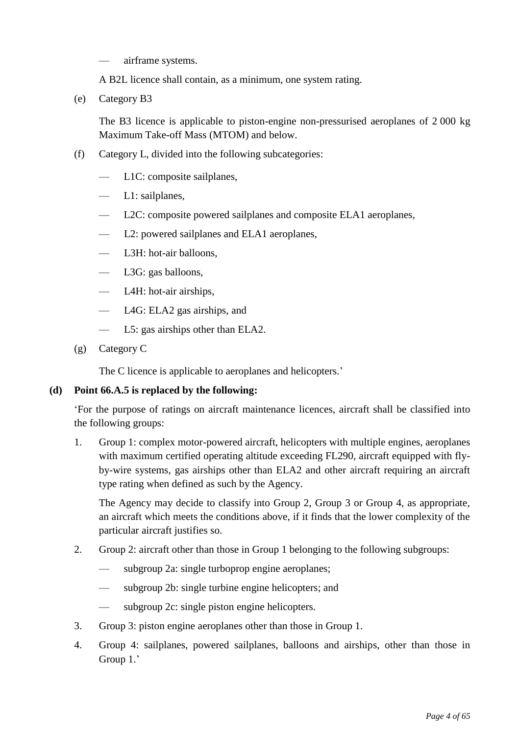- airframe systems.
- A B2L licence shall contain, as a minimum, one system rating.
- (e) Category B3

The B3 licence is applicable to piston-engine non-pressurised aeroplanes of 2 000 kg Maximum Take-off Mass (MTOM) and below.

- (f) Category L, divided into the following subcategories:
	- L1C: composite sailplanes,
	- L1: sailplanes,
	- L2C: composite powered sailplanes and composite ELA1 aeroplanes,
	- L2: powered sailplanes and ELA1 aeroplanes,
	- L3H: hot-air balloons,
	- L3G: gas balloons,
	- L4H: hot-air airships,
	- L4G: ELA2 gas airships, and
	- L5: gas airships other than ELA2.
- (g) Category C

The C licence is applicable to aeroplanes and helicopters.'

### **(d) Point 66.A.5 is replaced by the following:**

'For the purpose of ratings on aircraft maintenance licences, aircraft shall be classified into the following groups:

1.. Group 1: complex motor-powered aircraft, helicopters with multiple engines, aeroplanes with maximum certified operating altitude exceeding FL290, aircraft equipped with flyby-wire systems, gas airships other than ELA2 and other aircraft requiring an aircraft type rating when defined as such by the Agency.

The Agency may decide to classify into Group 2, Group 3 or Group 4, as appropriate, an aircraft which meets the conditions above, if it finds that the lower complexity of the particular aircraft justifies so.

- 2.. Group 2: aircraft other than those in Group 1 belonging to the following subgroups:
	- subgroup 2a: single turboprop engine aeroplanes;
	- subgroup 2b: single turbine engine helicopters; and
	- subgroup 2c: single piston engine helicopters.
- 3.. Group 3: piston engine aeroplanes other than those in Group 1.
- 4. Group 4: sailplanes, powered sailplanes, balloons and airships, other than those in Group 1.'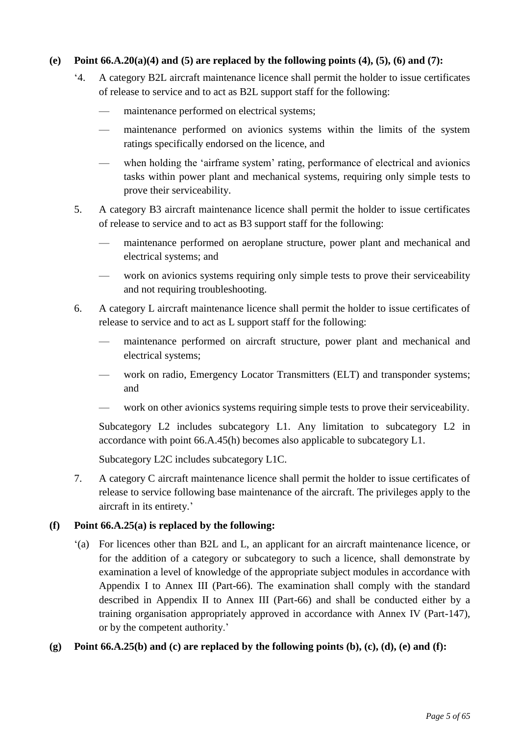### **(e) Point 66.A.20(a)(4) and (5) are replaced by the following points (4), (5), (6) and (7):**

- '4. A category B2L aircraft maintenance licence shall permit the holder to issue certificates of release to service and to act as B2L support staff for the following:
	- maintenance performed on electrical systems:
	- maintenance performed on avionics systems within the limits of the system ratings specifically endorsed on the licence, and
	- when holding the 'airframe system' rating, performance of electrical and avionics tasks within power plant and mechanical systems, requiring only simple tests to prove their serviceability.
- 5. A category B3 aircraft maintenance licence shall permit the holder to issue certificates of release to service and to act as B3 support staff for the following:
	- maintenance performed on aeroplane structure, power plant and mechanical and electrical systems; and
	- work on avionics systems requiring only simple tests to prove their serviceability and not requiring troubleshooting.
- 6. A category L aircraft maintenance licence shall permit the holder to issue certificates of release to service and to act as L support staff for the following:
	- maintenance performed on aircraft structure, power plant and mechanical and electrical systems;
	- work on radio, Emergency Locator Transmitters (ELT) and transponder systems; and
	- work on other avionics systems requiring simple tests to prove their serviceability.

Subcategory L2 includes subcategory L1. Any limitation to subcategory L2 in accordance with point 66.A.45(h) becomes also applicable to subcategory L1.

Subcategory L2C includes subcategory L1C.

7.. A category C aircraft maintenance licence shall permit the holder to issue certificates of release to service following base maintenance of the aircraft. The privileges apply to the aircraft in its entirety.'

### **(f) Point 66.A.25(a) is replaced by the following:**

'(a) For licences other than B2L and L, an applicant for an aircraft maintenance licence, or for the addition of a category or subcategory to such a licence, shall demonstrate by examination a level of knowledge of the appropriate subject modules in accordance with Appendix I to Annex III (Part-66). The examination shall comply with the standard described in Appendix II to Annex III (Part-66) and shall be conducted either by a training organisation appropriately approved in accordance with Annex IV (Part-147), or by the competent authority.'

### **(g) Point 66.A.25(b) and (c) are replaced by the following points (b), (c), (d), (e) and (f):**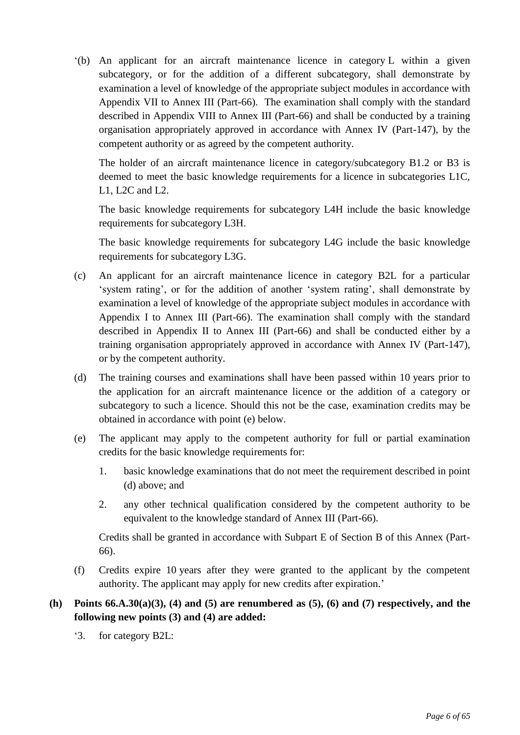'(b) An applicant for an aircraft maintenance licence in category L within a given subcategory, or for the addition of a different subcategory, shall demonstrate by examination a level of knowledge of the appropriate subject modules in accordance with Appendix VII to Annex III (Part-66). The examination shall comply with the standard described in Appendix VIII to Annex III (Part-66) and shall be conducted by a training organisation appropriately approved in accordance with Annex IV (Part-147), by the competent authority or as agreed by the competent authority.

The holder of an aircraft maintenance licence in category/subcategory B1.2 or B3 is deemed to meet the basic knowledge requirements for a licence in subcategories L1C, L1, L2C and L2.

The basic knowledge requirements for subcategory L4H include the basic knowledge requirements for subcategory L3H.

The basic knowledge requirements for subcategory L4G include the basic knowledge requirements for subcategory L3G.

- (c) An applicant for an aircraft maintenance licence in category B2L for a particular 'system rating', or for the addition of another 'system rating', shall demonstrate by examination a level of knowledge of the appropriate subject modules in accordance with Appendix I to Annex III (Part-66). The examination shall comply with the standard described in Appendix II to Annex III (Part-66) and shall be conducted either by a training organisation appropriately approved in accordance with Annex IV (Part-147), or by the competent authority.
- (d) The training courses and examinations shall have been passed within 10 years prior to the application for an aircraft maintenance licence or the addition of a category or subcategory to such a licence. Should this not be the case, examination credits may be obtained in accordance with point (e) below.
- (e) The applicant may apply to the competent authority for full or partial examination credits for the basic knowledge requirements for:
	- 1. basic knowledge examinations that do not meet the requirement described in point (d) above; and
	- 2. any other technical qualification considered by the competent authority to be equivalent to the knowledge standard of Annex III (Part-66).

Credits shall be granted in accordance with Subpart E of Section B of this Annex (Part-66).

(f) Credits expire 10 years after they were granted to the applicant by the competent authority. The applicant may apply for new credits after expiration.'

### **(h) Points 66.A.30(a)(3), (4) and (5) are renumbered as (5), (6) and (7) respectively, and the following new points (3) and (4) are added:**

'3. for category B2L: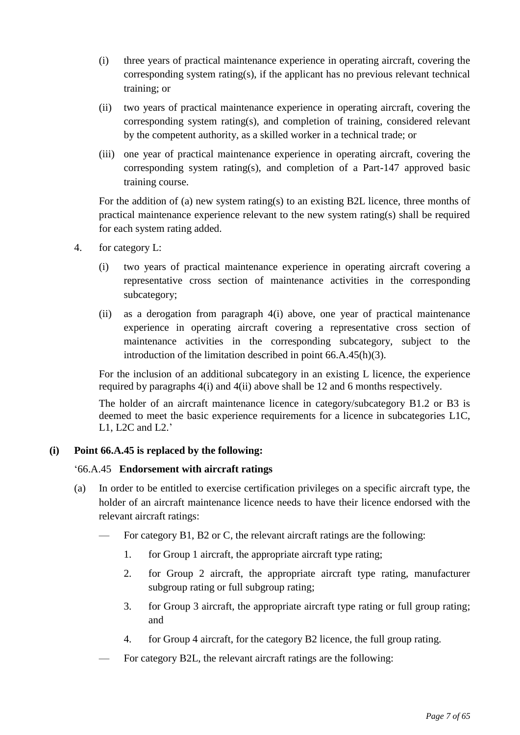- (i) three years of practical maintenance experience in operating aircraft, covering the corresponding system rating(s), if the applicant has no previous relevant technical training; or
- (ii) two years of practical maintenance experience in operating aircraft, covering the corresponding system rating(s), and completion of training, considered relevant by the competent authority, as a skilled worker in a technical trade; or
- (iii) one year of practical maintenance experience in operating aircraft, covering the corresponding system rating(s), and completion of a Part-147 approved basic training course.

For the addition of (a) new system rating(s) to an existing B2L licence, three months of practical maintenance experience relevant to the new system rating(s) shall be required for each system rating added.

- 4. for category L:
	- (i) two years of practical maintenance experience in operating aircraft covering a representative cross section of maintenance activities in the corresponding subcategory;
	- (ii) as a derogation from paragraph 4(i) above, one year of practical maintenance experience in operating aircraft covering a representative cross section of maintenance activities in the corresponding subcategory, subject to the introduction of the limitation described in point 66.A.45(h)(3).

For the inclusion of an additional subcategory in an existing L licence, the experience required by paragraphs 4(i) and 4(ii) above shall be 12 and 6 months respectively.

The holder of an aircraft maintenance licence in category/subcategory B1.2 or B3 is deemed to meet the basic experience requirements for a licence in subcategories L1C, L1, L2C and L2.'

## **(i) Point 66.A.45 is replaced by the following:**

### '66.A.45 **Endorsement with aircraft ratings**

- (a) In order to be entitled to exercise certification privileges on a specific aircraft type, the holder of an aircraft maintenance licence needs to have their licence endorsed with the relevant aircraft ratings:
	- For category B1, B2 or C, the relevant aircraft ratings are the following:
		- 1. for Group 1 aircraft, the appropriate aircraft type rating;
		- 2. for Group 2 aircraft, the appropriate aircraft type rating, manufacturer subgroup rating or full subgroup rating;
		- 3. for Group 3 aircraft, the appropriate aircraft type rating or full group rating; and
		- 4. for Group 4 aircraft, for the category B2 licence, the full group rating.
		- For category B2L, the relevant aircraft ratings are the following: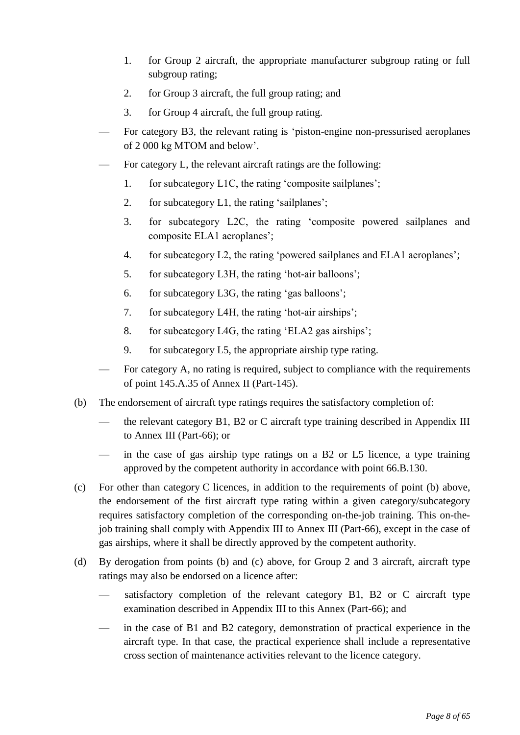- 1. for Group 2 aircraft, the appropriate manufacturer subgroup rating or full subgroup rating;
- 2. for Group 3 aircraft, the full group rating; and
- 3. for Group 4 aircraft, the full group rating.
- For category B3, the relevant rating is 'piston-engine non-pressurised aeroplanes of 2 000 kg MTOM and below'.
- For category L, the relevant aircraft ratings are the following:
	- 1. for subcategory L1C, the rating 'composite sailplanes';
	- 2. for subcategory L1, the rating 'sailplanes';
	- 3. for subcategory L2C, the rating 'composite powered sailplanes and composite ELA1 aeroplanes';
	- 4. for subcategory L2, the rating 'powered sailplanes and ELA1 aeroplanes';
	- 5. for subcategory L3H, the rating 'hot-air balloons';
	- 6. for subcategory L3G, the rating 'gas balloons';
	- 7. for subcategory L4H, the rating 'hot-air airships';
	- 8. for subcategory L4G, the rating 'ELA2 gas airships';
	- 9. for subcategory L5, the appropriate airship type rating.
- For category A, no rating is required, subject to compliance with the requirements of point 145.A.35 of Annex II (Part-145).
- (b) The endorsement of aircraft type ratings requires the satisfactory completion of:
	- the relevant category B1, B2 or C aircraft type training described in Appendix III to Annex III (Part-66); or
	- in the case of gas airship type ratings on a B2 or L5 licence, a type training approved by the competent authority in accordance with point 66.B.130.
- (c) For other than category C licences, in addition to the requirements of point (b) above, the endorsement of the first aircraft type rating within a given category/subcategory requires satisfactory completion of the corresponding on-the-job training. This on-thejob training shall comply with Appendix III to Annex III (Part-66), except in the case of gas airships, where it shall be directly approved by the competent authority.
- (d) By derogation from points (b) and (c) above, for Group 2 and 3 aircraft, aircraft type ratings may also be endorsed on a licence after:
	- satisfactory completion of the relevant category B1, B2 or C aircraft type examination described in Appendix III to this Annex (Part-66); and
	- in the case of B1 and B2 category, demonstration of practical experience in the aircraft type. In that case, the practical experience shall include a representative cross section of maintenance activities relevant to the licence category.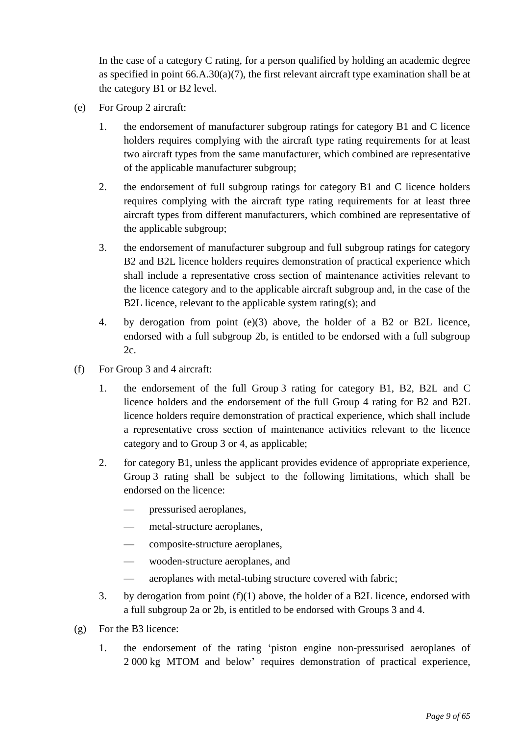In the case of a category C rating, for a person qualified by holding an academic degree as specified in point 66.A.30(a)(7), the first relevant aircraft type examination shall be at the category B1 or B2 level.

- (e) For Group 2 aircraft:
	- 1. the endorsement of manufacturer subgroup ratings for category B1 and C licence holders requires complying with the aircraft type rating requirements for at least two aircraft types from the same manufacturer, which combined are representative of the applicable manufacturer subgroup;
	- 2. the endorsement of full subgroup ratings for category B1 and C licence holders requires complying with the aircraft type rating requirements for at least three aircraft types from different manufacturers, which combined are representative of the applicable subgroup;
	- 3. the endorsement of manufacturer subgroup and full subgroup ratings for category B2 and B2L licence holders requires demonstration of practical experience which shall include a representative cross section of maintenance activities relevant to the licence category and to the applicable aircraft subgroup and, in the case of the B2L licence, relevant to the applicable system rating(s); and
	- 4. by derogation from point (e)(3) above, the holder of a B2 or B2L licence, endorsed with a full subgroup 2b, is entitled to be endorsed with a full subgroup  $2c$ .
- (f) For Group 3 and 4 aircraft:
	- 1. the endorsement of the full Group 3 rating for category B1, B2, B2L and C licence holders and the endorsement of the full Group 4 rating for B2 and B2L licence holders require demonstration of practical experience, which shall include a representative cross section of maintenance activities relevant to the licence category and to Group 3 or 4, as applicable;
	- 2. for category B1, unless the applicant provides evidence of appropriate experience, Group 3 rating shall be subject to the following limitations, which shall be endorsed on the licence:
		- pressurised aeroplanes,
		- metal-structure aeroplanes,
		- composite-structure aeroplanes,
		- wooden-structure aeroplanes, and
		- aeroplanes with metal-tubing structure covered with fabric;
	- 3. by derogation from point  $(f)(1)$  above, the holder of a B2L licence, endorsed with a full subgroup 2a or 2b, is entitled to be endorsed with Groups 3 and 4.
- (g) For the B3 licence:
	- 1. the endorsement of the rating 'piston engine non-pressurised aeroplanes of 2 000 kg MTOM and below' requires demonstration of practical experience,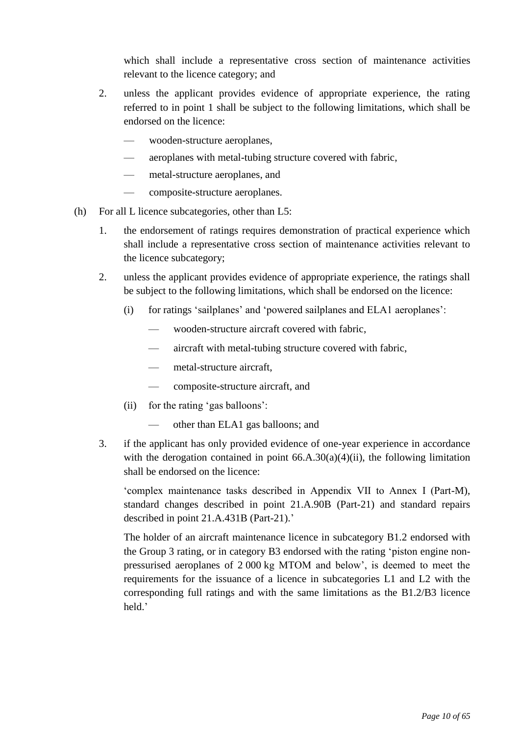which shall include a representative cross section of maintenance activities relevant to the licence category; and

- 2. unless the applicant provides evidence of appropriate experience, the rating referred to in point 1 shall be subject to the following limitations, which shall be endorsed on the licence:
	- wooden-structure aeroplanes,
	- aeroplanes with metal-tubing structure covered with fabric,
	- metal-structure aeroplanes, and
	- composite-structure aeroplanes.
- (h) For all L licence subcategories, other than L5:
	- 1. the endorsement of ratings requires demonstration of practical experience which shall include a representative cross section of maintenance activities relevant to the licence subcategory;
	- 2. unless the applicant provides evidence of appropriate experience, the ratings shall be subject to the following limitations, which shall be endorsed on the licence:
		- (i) for ratings 'sailplanes' and 'powered sailplanes and ELA1 aeroplanes':
			- wooden-structure aircraft covered with fabric,
			- aircraft with metal-tubing structure covered with fabric,
			- metal-structure aircraft,
			- composite-structure aircraft, and
		- (ii) for the rating 'gas balloons':
			- other than ELA1 gas balloons; and
	- 3. if the applicant has only provided evidence of one-year experience in accordance with the derogation contained in point  $66.A.30(a)(4)(ii)$ , the following limitation shall be endorsed on the licence:

'complex maintenance tasks described in Appendix VII to Annex I (Part-M), standard changes described in point 21.A.90B (Part-21) and standard repairs described in point 21.A.431B (Part-21).'

The holder of an aircraft maintenance licence in subcategory B1.2 endorsed with the Group 3 rating, or in category B3 endorsed with the rating 'piston engine nonpressurised aeroplanes of 2 000 kg MTOM and below', is deemed to meet the requirements for the issuance of a licence in subcategories L1 and L2 with the corresponding full ratings and with the same limitations as the B1.2/B3 licence held.'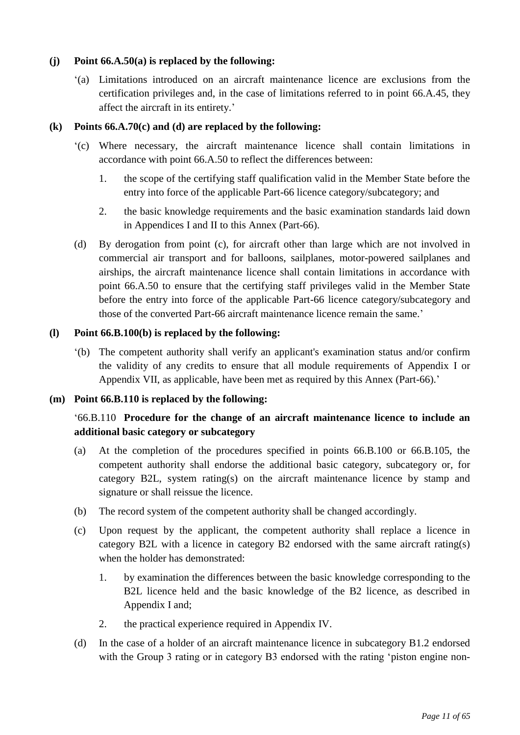### **(j) Point 66.A.50(a) is replaced by the following:**

'(a) Limitations introduced on an aircraft maintenance licence are exclusions from the certification privileges and, in the case of limitations referred to in point 66.A.45, they affect the aircraft in its entirety.'

### **(k) Points 66.A.70(c) and (d) are replaced by the following:**

- '(c) Where necessary, the aircraft maintenance licence shall contain limitations in accordance with point 66.A.50 to reflect the differences between:
	- 1. the scope of the certifying staff qualification valid in the Member State before the entry into force of the applicable Part-66 licence category/subcategory; and
	- 2. the basic knowledge requirements and the basic examination standards laid down in Appendices I and II to this Annex (Part-66).
- (d) By derogation from point (c), for aircraft other than large which are not involved in commercial air transport and for balloons, sailplanes, motor-powered sailplanes and airships, the aircraft maintenance licence shall contain limitations in accordance with point 66.A.50 to ensure that the certifying staff privileges valid in the Member State before the entry into force of the applicable Part-66 licence category/subcategory and those of the converted Part-66 aircraft maintenance licence remain the same.'

### **(l) Point 66.B.100(b) is replaced by the following:**

'(b) The competent authority shall verify an applicant's examination status and/or confirm the validity of any credits to ensure that all module requirements of Appendix I or Appendix VII, as applicable, have been met as required by this Annex (Part-66).'

### **(m) Point 66.B.110 is replaced by the following:**

## '66.B.110 **Procedure for the change of an aircraft maintenance licence to include an additional basic category or subcategory**

- (a) At the completion of the procedures specified in points 66.B.100 or 66.B.105, the competent authority shall endorse the additional basic category, subcategory or, for category B2L, system rating(s) on the aircraft maintenance licence by stamp and signature or shall reissue the licence.
- (b) The record system of the competent authority shall be changed accordingly.
- (c) Upon request by the applicant, the competent authority shall replace a licence in category B2L with a licence in category B2 endorsed with the same aircraft rating(s) when the holder has demonstrated:
	- 1. by examination the differences between the basic knowledge corresponding to the B2L licence held and the basic knowledge of the B2 licence, as described in Appendix I and;
	- 2. the practical experience required in Appendix IV.
- (d) In the case of a holder of an aircraft maintenance licence in subcategory B1.2 endorsed with the Group 3 rating or in category B3 endorsed with the rating 'piston engine non-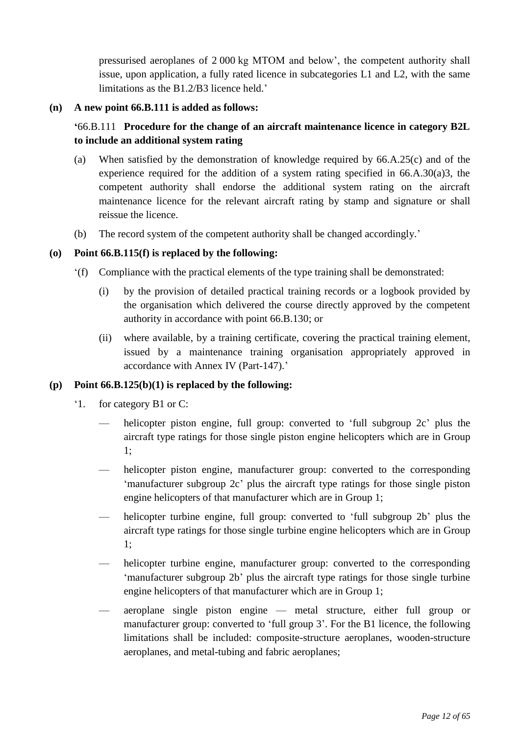pressurised aeroplanes of 2 000 kg MTOM and below', the competent authority shall issue, upon application, a fully rated licence in subcategories L1 and L2, with the same limitations as the B1.2/B3 licence held.'

### **(n) A new point 66.B.111 is added as follows:**

## **'**66.B.111 **Procedure for the change of an aircraft maintenance licence in category B2L to include an additional system rating**

- (a) When satisfied by the demonstration of knowledge required by 66.A.25(c) and of the experience required for the addition of a system rating specified in 66.A.30(a)3, the competent authority shall endorse the additional system rating on the aircraft maintenance licence for the relevant aircraft rating by stamp and signature or shall reissue the licence.
- (b) The record system of the competent authority shall be changed accordingly.'

### **(o) Point 66.B.115(f) is replaced by the following:**

- '(f) Compliance with the practical elements of the type training shall be demonstrated:
	- (i) by the provision of detailed practical training records or a logbook provided by the organisation which delivered the course directly approved by the competent authority in accordance with point 66.B.130; or
	- (ii) where available, by a training certificate, covering the practical training element, issued by a maintenance training organisation appropriately approved in accordance with Annex IV (Part-147).'

### **(p) Point 66.B.125(b)(1) is replaced by the following:**

- '1. for category B1 or C:
	- helicopter piston engine, full group: converted to 'full subgroup 2c' plus the aircraft type ratings for those single piston engine helicopters which are in Group 1;
	- helicopter piston engine, manufacturer group: converted to the corresponding 'manufacturer subgroup 2c' plus the aircraft type ratings for those single piston engine helicopters of that manufacturer which are in Group 1;
	- helicopter turbine engine, full group: converted to 'full subgroup 2b' plus the aircraft type ratings for those single turbine engine helicopters which are in Group 1;
	- helicopter turbine engine, manufacturer group: converted to the corresponding 'manufacturer subgroup 2b' plus the aircraft type ratings for those single turbine engine helicopters of that manufacturer which are in Group 1;
	- aeroplane single piston engine metal structure, either full group or manufacturer group: converted to 'full group 3'. For the B1 licence, the following limitations shall be included: composite-structure aeroplanes, wooden-structure aeroplanes, and metal-tubing and fabric aeroplanes;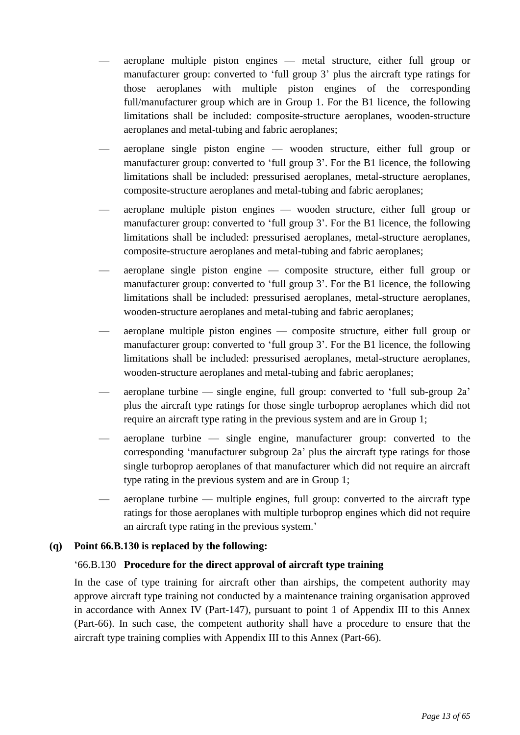- aeroplane multiple piston engines metal structure, either full group or manufacturer group: converted to 'full group 3' plus the aircraft type ratings for those aeroplanes with multiple piston engines of the corresponding full/manufacturer group which are in Group 1. For the B1 licence, the following limitations shall be included: composite-structure aeroplanes, wooden-structure aeroplanes and metal-tubing and fabric aeroplanes;
- aeroplane single piston engine wooden structure, either full group or manufacturer group: converted to 'full group 3'. For the B1 licence, the following limitations shall be included: pressurised aeroplanes, metal-structure aeroplanes, composite-structure aeroplanes and metal-tubing and fabric aeroplanes;
- aeroplane multiple piston engines wooden structure, either full group or manufacturer group: converted to 'full group 3'. For the B1 licence, the following limitations shall be included: pressurised aeroplanes, metal-structure aeroplanes, composite-structure aeroplanes and metal-tubing and fabric aeroplanes;
- aeroplane single piston engine composite structure, either full group or manufacturer group: converted to 'full group 3'. For the B1 licence, the following limitations shall be included: pressurised aeroplanes, metal-structure aeroplanes, wooden-structure aeroplanes and metal-tubing and fabric aeroplanes;
- aeroplane multiple piston engines composite structure, either full group or manufacturer group: converted to 'full group 3'. For the B1 licence, the following limitations shall be included: pressurised aeroplanes, metal-structure aeroplanes, wooden-structure aeroplanes and metal-tubing and fabric aeroplanes;
- aeroplane turbine single engine, full group: converted to 'full sub-group 2a' plus the aircraft type ratings for those single turboprop aeroplanes which did not require an aircraft type rating in the previous system and are in Group 1;
- aeroplane turbine single engine, manufacturer group: converted to the corresponding 'manufacturer subgroup 2a' plus the aircraft type ratings for those single turboprop aeroplanes of that manufacturer which did not require an aircraft type rating in the previous system and are in Group 1;
- aeroplane turbine multiple engines, full group: converted to the aircraft type ratings for those aeroplanes with multiple turboprop engines which did not require an aircraft type rating in the previous system.'

## **(q) Point 66.B.130 is replaced by the following:**

### '66.B.130 **Procedure for the direct approval of aircraft type training**

In the case of type training for aircraft other than airships, the competent authority may approve aircraft type training not conducted by a maintenance training organisation approved in accordance with Annex IV (Part-147), pursuant to point 1 of Appendix III to this Annex (Part-66). In such case, the competent authority shall have a procedure to ensure that the aircraft type training complies with Appendix III to this Annex (Part-66).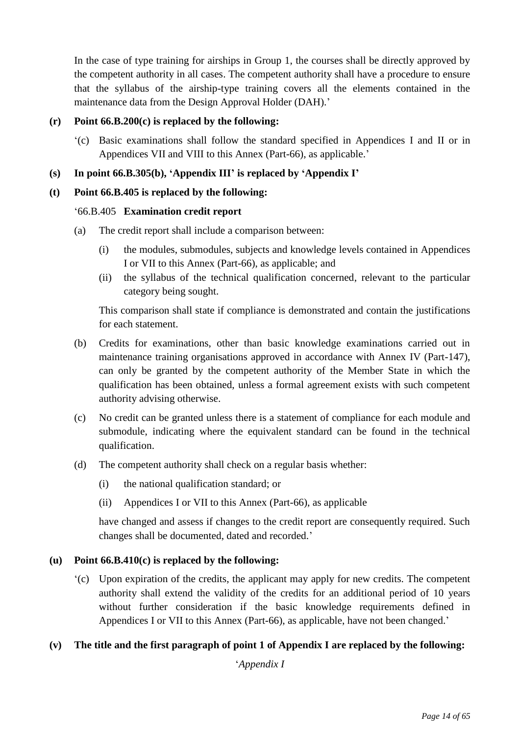In the case of type training for airships in Group 1, the courses shall be directly approved by the competent authority in all cases. The competent authority shall have a procedure to ensure that the syllabus of the airship-type training covers all the elements contained in the maintenance data from the Design Approval Holder (DAH).'

### **(r) Point 66.B.200(c) is replaced by the following:**

'(c) Basic examinations shall follow the standard specified in Appendices I and II or in Appendices VII and VIII to this Annex (Part-66), as applicable.'

### **(s) In point 66.B.305(b), 'Appendix III' is replaced by 'Appendix I'**

### **(t) Point 66.B.405 is replaced by the following:**

### '66.B.405 **Examination credit report**

- (a) The credit report shall include a comparison between:
	- (i) the modules, submodules, subjects and knowledge levels contained in Appendices I or VII to this Annex (Part-66), as applicable; and
	- (ii) the syllabus of the technical qualification concerned, relevant to the particular category being sought.

This comparison shall state if compliance is demonstrated and contain the justifications for each statement.

- (b) Credits for examinations, other than basic knowledge examinations carried out in maintenance training organisations approved in accordance with Annex IV (Part-147), can only be granted by the competent authority of the Member State in which the qualification has been obtained, unless a formal agreement exists with such competent authority advising otherwise.
- (c) No credit can be granted unless there is a statement of compliance for each module and submodule, indicating where the equivalent standard can be found in the technical qualification.
- (d) The competent authority shall check on a regular basis whether:
	- (i) the national qualification standard; or
	- (ii) Appendices I or VII to this Annex (Part-66), as applicable

have changed and assess if changes to the credit report are consequently required. Such changes shall be documented, dated and recorded.'

### **(u) Point 66.B.410(c) is replaced by the following:**

'(c) Upon expiration of the credits, the applicant may apply for new credits. The competent authority shall extend the validity of the credits for an additional period of 10 years without further consideration if the basic knowledge requirements defined in Appendices I or VII to this Annex (Part-66), as applicable, have not been changed.'

## **(v) The title and the first paragraph of point 1 of Appendix I are replaced by the following:**

'*Appendix I*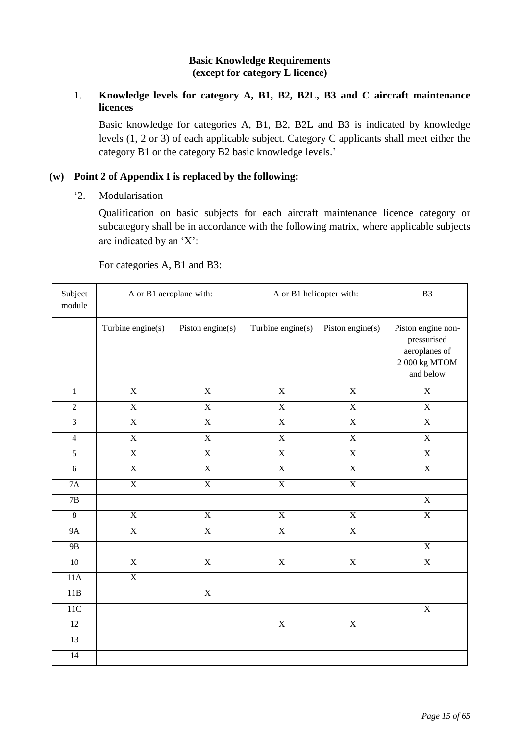### **Basic Knowledge Requirements (except for category L licence)**

### 1. **Knowledge levels for category A, B1, B2, B2L, B3 and C aircraft maintenance licences**

Basic knowledge for categories A, B1, B2, B2L and B3 is indicated by knowledge levels (1, 2 or 3) of each applicable subject. Category C applicants shall meet either the category B1 or the category B2 basic knowledge levels.'

### **(w) Point 2 of Appendix I is replaced by the following:**

'2. Modularisation

Qualification on basic subjects for each aircraft maintenance licence category or subcategory shall be in accordance with the following matrix, where applicable subjects are indicated by an 'X':

For categories A, B1 and B3:

| Subject<br>module | A or B1 aeroplane with: |                         | A or B1 helicopter with: |                         | B <sub>3</sub>                                                                      |
|-------------------|-------------------------|-------------------------|--------------------------|-------------------------|-------------------------------------------------------------------------------------|
|                   | Turbine engine(s)       | Piston engine(s)        | Turbine engine(s)        | Piston engine(s)        | Piston engine non-<br>pressurised<br>aeroplanes of<br>$2\ 000$ kg MTOM<br>and below |
| $\mathbf{1}$      | $\overline{X}$          | $\overline{X}$          | $\overline{X}$           | $\overline{\textbf{X}}$ | $\overline{X}$                                                                      |
| $\overline{2}$    | $\overline{X}$          | $\overline{X}$          | $\overline{X}$           | $\overline{X}$          | $\overline{X}$                                                                      |
| $\overline{3}$    | $\overline{X}$          | $\overline{\textbf{X}}$ | $\overline{X}$           | $\overline{X}$          | $\overline{X}$                                                                      |
| $\overline{4}$    | $\overline{X}$          | $\overline{X}$          | $\overline{X}$           | $\overline{X}$          | $\overline{X}$                                                                      |
| $\overline{5}$    | $\overline{X}$          | $\overline{X}$          | $\overline{X}$           | $\overline{X}$          | $\overline{X}$                                                                      |
| $\overline{6}$    | $\overline{\textbf{X}}$ | $\overline{\textbf{X}}$ | $\overline{\textbf{X}}$  | $\overline{\textbf{X}}$ | $\overline{\textbf{X}}$                                                             |
| $7\mathrm{A}$     | $\overline{\textbf{X}}$ | $\overline{\textbf{X}}$ | $\overline{\textbf{X}}$  | $\overline{\textbf{X}}$ |                                                                                     |
| $\overline{7B}$   |                         |                         |                          |                         | $\overline{\textbf{X}}$                                                             |
| $\overline{8}$    | $\overline{X}$          | $\overline{\textbf{X}}$ | $\overline{X}$           | $\overline{\textbf{X}}$ | $\overline{X}$                                                                      |
| <b>9A</b>         | $\overline{X}$          | $\overline{X}$          | $\overline{X}$           | $\overline{X}$          |                                                                                     |
| 9B                |                         |                         |                          |                         | $\overline{X}$                                                                      |
| 10                | $\overline{X}$          | $\overline{X}$          | $\overline{X}$           | $\mathbf X$             | $\overline{X}$                                                                      |
| 11A               | $\overline{X}$          |                         |                          |                         |                                                                                     |
| 11B               |                         | $\overline{X}$          |                          |                         |                                                                                     |
| 11C               |                         |                         |                          |                         | $\overline{X}$                                                                      |
| $\overline{12}$   |                         |                         | $\overline{X}$           | $\overline{X}$          |                                                                                     |
| $\overline{13}$   |                         |                         |                          |                         |                                                                                     |
| 14                |                         |                         |                          |                         |                                                                                     |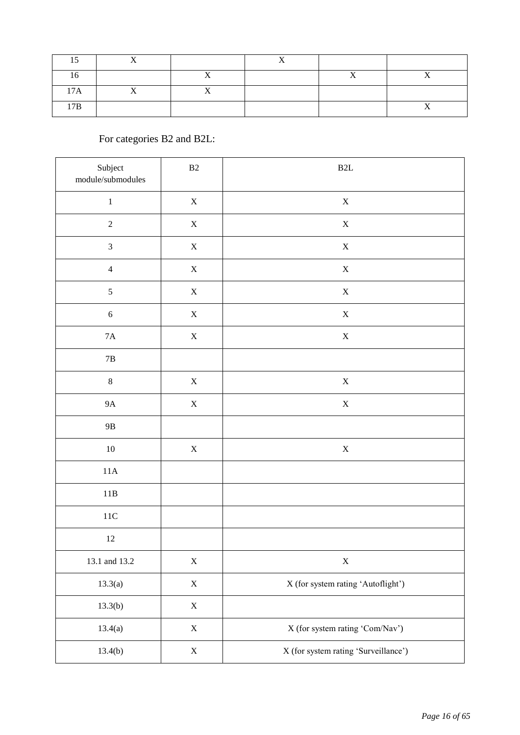| $\cdot$ $ \cdot$<br>Ά |  |  |  |
|-----------------------|--|--|--|
| 7D                    |  |  |  |

# For categories B2 and B2L:

| Subject<br>$module/submodules$ | $\mathbf{B}2$ | B2L                                  |
|--------------------------------|---------------|--------------------------------------|
| $\,1\,$                        | $\mathbf X$   | $\mathbf X$                          |
| $\sqrt{2}$                     | $\mathbf X$   | $\mathbf X$                          |
| $\ensuremath{\mathfrak{Z}}$    | $\mathbf X$   | $\mathbf X$                          |
| $\overline{4}$                 | $\mathbf X$   | $\mathbf X$                          |
| $\sqrt{5}$                     | $\mathbf X$   | $\mathbf X$                          |
| $\sqrt{6}$                     | $\mathbf X$   | $\mathbf X$                          |
| $7\mathrm{A}$                  | $\mathbf X$   | $\mathbf X$                          |
| $7\mathrm{B}$                  |               |                                      |
| $\,8\,$                        | $\mathbf X$   | $\mathbf X$                          |
| $9A$                           | $\mathbf X$   | $\mathbf X$                          |
| $9\mathrm{B}$                  |               |                                      |
| $10\,$                         | $\mathbf X$   | $\mathbf X$                          |
| $11A$                          |               |                                      |
| $11B$                          |               |                                      |
| $11\mathrm{C}$                 |               |                                      |
| $12\,$                         |               |                                      |
| 13.1 and 13.2                  | $\mathbf X$   | $\mathbf X$                          |
| 13.3(a)                        | $\mathbf X$   | X (for system rating 'Autoflight')   |
| 13.3(b)                        | $\mathbf X$   |                                      |
| 13.4(a)                        | $\mathbf X$   | X (for system rating 'Com/Nav')      |
| 13.4(b)                        | $\mathbf X$   | X (for system rating 'Surveillance') |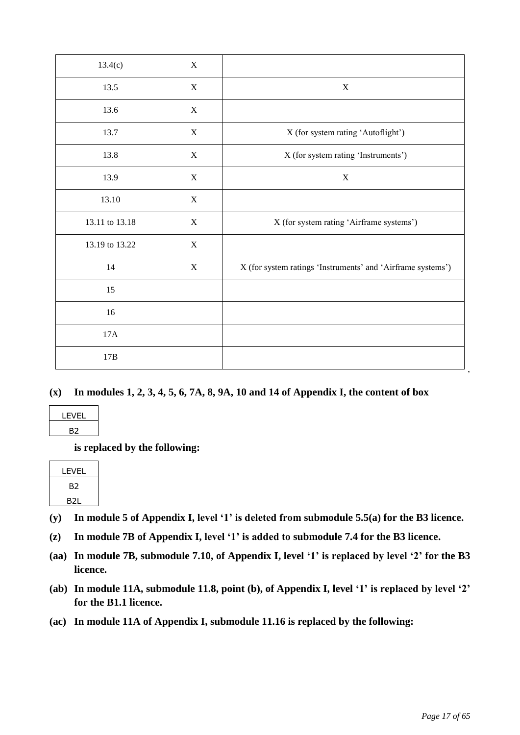| 13.4(c)        | $\mathbf X$ |                                                             |
|----------------|-------------|-------------------------------------------------------------|
| 13.5           | $\mathbf X$ | $\mathbf X$                                                 |
| 13.6           | X           |                                                             |
| 13.7           | $\mathbf X$ | X (for system rating 'Autoflight')                          |
| 13.8           | $\mathbf X$ | X (for system rating 'Instruments')                         |
| 13.9           | X           | X                                                           |
| 13.10          | $\mathbf X$ |                                                             |
| 13.11 to 13.18 | $\mathbf X$ | X (for system rating 'Airframe systems')                    |
| 13.19 to 13.22 | $\mathbf X$ |                                                             |
| 14             | $\mathbf X$ | X (for system ratings 'Instruments' and 'Airframe systems') |
| 15             |             |                                                             |
| $16\,$         |             |                                                             |
| 17A            |             |                                                             |
| 17B            |             |                                                             |

### **(x) In modules 1, 2, 3, 4, 5, 6, 7A, 8, 9A, 10 and 14 of Appendix I, the content of box**

| LEVEL |  |
|-------|--|
| В2    |  |

**is replaced by the following:**

| LEVEL |  |
|-------|--|
| B2    |  |
| B2L   |  |

- **(y) In module 5 of Appendix I, level '1' is deleted from submodule 5.5(a) for the B3 licence.**
- **(z) In module 7B of Appendix I, level '1' is added to submodule 7.4 for the B3 licence.**
- **(aa) In module 7B, submodule 7.10, of Appendix I, level '1' is replaced by level '2' for the B3 licence.**
- **(ab) In module 11A, submodule 11.8, point (b), of Appendix I, level '1' is replaced by level '2' for the B1.1 licence.**
- **(ac) In module 11A of Appendix I, submodule 11.16 is replaced by the following:**

'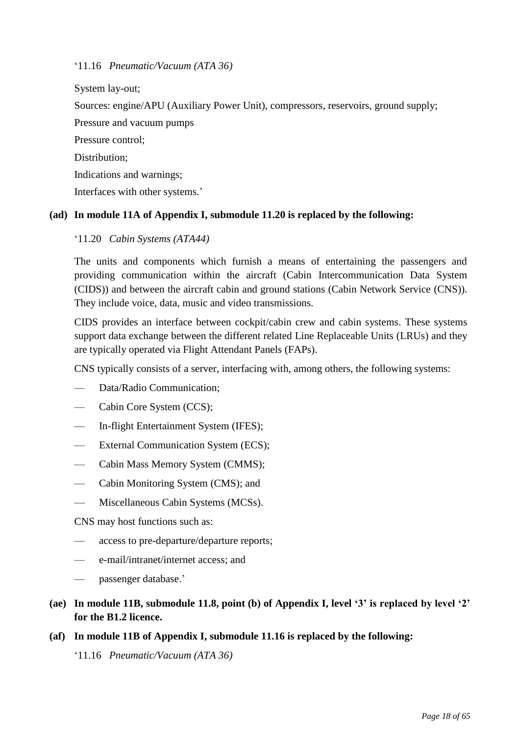'11.16 *Pneumatic/Vacuum (ATA 36)*

System lay-out;

Sources: engine/APU (Auxiliary Power Unit), compressors, reservoirs, ground supply;

Pressure and vacuum pumps

Pressure control;

Distribution;

Indications and warnings;

Interfaces with other systems.'

### **(ad) In module 11A of Appendix I, submodule 11.20 is replaced by the following:**

### '11.20 *Cabin Systems (ATA44)*

The units and components which furnish a means of entertaining the passengers and providing communication within the aircraft (Cabin Intercommunication Data System (CIDS)) and between the aircraft cabin and ground stations (Cabin Network Service (CNS)). They include voice, data, music and video transmissions.

CIDS provides an interface between cockpit/cabin crew and cabin systems. These systems support data exchange between the different related Line Replaceable Units (LRUs) and they are typically operated via Flight Attendant Panels (FAPs).

CNS typically consists of a server, interfacing with, among others, the following systems:

- Data/Radio Communication;
- Cabin Core System (CCS);
- In-flight Entertainment System (IFES);
- External Communication System (ECS);
- Cabin Mass Memory System (CMMS);
- Cabin Monitoring System (CMS); and
- Miscellaneous Cabin Systems (MCSs).

CNS may host functions such as:

- access to pre-departure/departure reports;
- e-mail/intranet/internet access; and
- passenger database.'
- **(ae) In module 11B, submodule 11.8, point (b) of Appendix I, level '3' is replaced by level '2' for the B1.2 licence.**
- **(af) In module 11B of Appendix I, submodule 11.16 is replaced by the following:** '11.16 *Pneumatic/Vacuum (ATA 36)*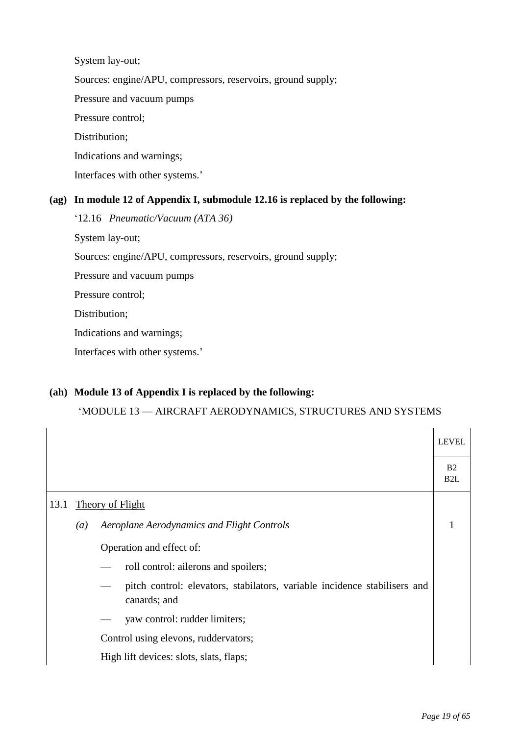System lay-out; Sources: engine/APU, compressors, reservoirs, ground supply; Pressure and vacuum pumps Pressure control; Distribution; Indications and warnings; Interfaces with other systems.'

### **(ag) In module 12 of Appendix I, submodule 12.16 is replaced by the following:**

'12.16 *Pneumatic/Vacuum (ATA 36)*

System lay-out;

Sources: engine/APU, compressors, reservoirs, ground supply;

Pressure and vacuum pumps

Pressure control;

Distribution;

Indications and warnings;

Interfaces with other systems.'

### **(ah) Module 13 of Appendix I is replaced by the following:**

#### 'MODULE 13 — AIRCRAFT AERODYNAMICS, STRUCTURES AND SYSTEMS

|      |                  |                                                                                           | <b>LEVEL</b>          |
|------|------------------|-------------------------------------------------------------------------------------------|-----------------------|
|      |                  |                                                                                           | B <sub>2</sub><br>B2L |
| 13.1 |                  | <b>Theory of Flight</b>                                                                   |                       |
|      | $\left(a\right)$ | Aeroplane Aerodynamics and Flight Controls                                                | 1                     |
|      |                  | Operation and effect of:                                                                  |                       |
|      |                  | roll control: allerons and spoilers;                                                      |                       |
|      |                  | pitch control: elevators, stabilators, variable incidence stabilisers and<br>canards; and |                       |
|      |                  | yaw control: rudder limiters;                                                             |                       |
|      |                  | Control using elevons, ruddervators;                                                      |                       |
|      |                  | High lift devices: slots, slats, flaps;                                                   |                       |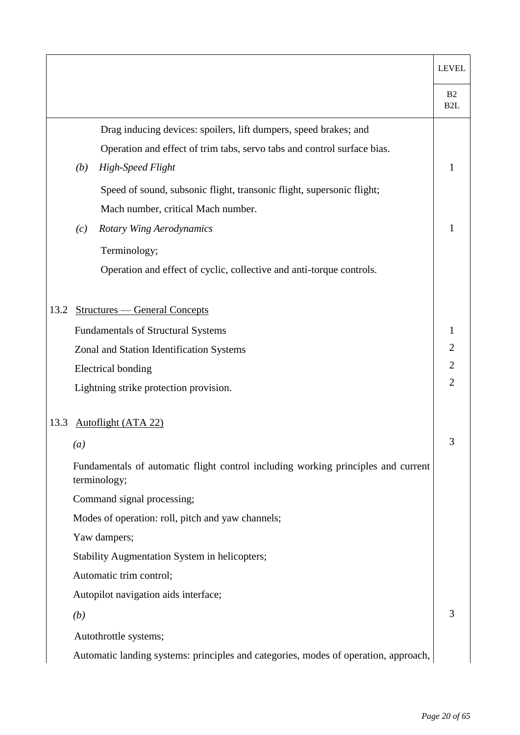|      |                  |                                                                                                   | <b>LEVEL</b>                       |
|------|------------------|---------------------------------------------------------------------------------------------------|------------------------------------|
|      |                  |                                                                                                   | B <sub>2</sub><br>B <sub>2</sub> L |
|      |                  | Drag inducing devices: spoilers, lift dumpers, speed brakes; and                                  |                                    |
|      |                  | Operation and effect of trim tabs, servo tabs and control surface bias.                           |                                    |
|      | (b)              | <b>High-Speed Flight</b>                                                                          | 1                                  |
|      |                  | Speed of sound, subsonic flight, transonic flight, supersonic flight;                             |                                    |
|      |                  | Mach number, critical Mach number.                                                                |                                    |
|      | (c)              | <b>Rotary Wing Aerodynamics</b>                                                                   | 1                                  |
|      |                  | Terminology;                                                                                      |                                    |
|      |                  | Operation and effect of cyclic, collective and anti-torque controls.                              |                                    |
|      |                  |                                                                                                   |                                    |
| 13.2 |                  | <b>Structures — General Concepts</b>                                                              |                                    |
|      |                  | <b>Fundamentals of Structural Systems</b>                                                         | 1                                  |
|      |                  | Zonal and Station Identification Systems                                                          | $\mathbf{2}$                       |
|      |                  | <b>Electrical bonding</b>                                                                         | $\overline{2}$                     |
|      |                  | Lightning strike protection provision.                                                            | $\overline{2}$                     |
| 13.3 |                  | <b>Autoflight (ATA 22)</b>                                                                        |                                    |
|      | $\left(a\right)$ |                                                                                                   | 3                                  |
|      |                  | Fundamentals of automatic flight control including working principles and current<br>terminology; |                                    |
|      |                  | Command signal processing;                                                                        |                                    |
|      |                  | Modes of operation: roll, pitch and yaw channels;                                                 |                                    |
|      |                  | Yaw dampers;                                                                                      |                                    |
|      |                  | Stability Augmentation System in helicopters;                                                     |                                    |
|      |                  | Automatic trim control;                                                                           |                                    |
|      |                  | Autopilot navigation aids interface;                                                              |                                    |
|      | (b)              |                                                                                                   | 3                                  |
|      |                  | Autothrottle systems;                                                                             |                                    |
|      |                  | Automatic landing systems: principles and categories, modes of operation, approach,               |                                    |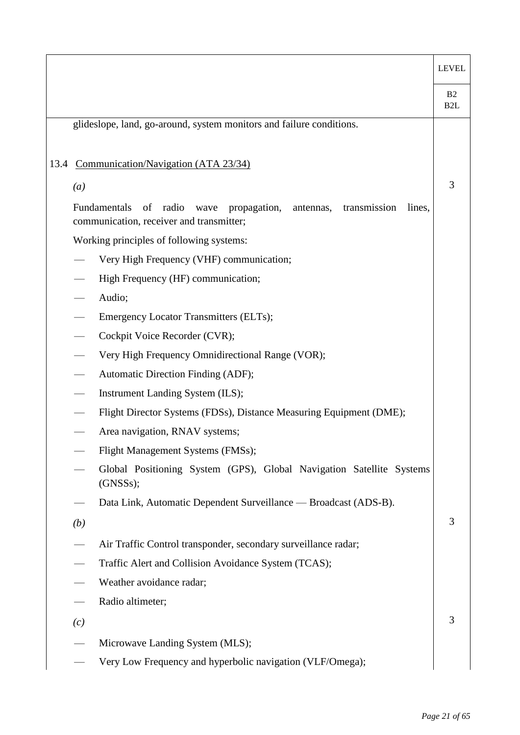|      |     |                                                                                                                                        | <b>LEVEL</b>                       |
|------|-----|----------------------------------------------------------------------------------------------------------------------------------------|------------------------------------|
|      |     |                                                                                                                                        | B <sub>2</sub><br>B <sub>2</sub> L |
|      |     | glideslope, land, go-around, system monitors and failure conditions.                                                                   |                                    |
|      |     |                                                                                                                                        |                                    |
| 13.4 |     | Communication/Navigation (ATA 23/34)                                                                                                   |                                    |
|      | (a) |                                                                                                                                        | 3                                  |
|      |     | Fundamentals<br>of<br>radio<br>propagation,<br>wave<br>antennas,<br>transmission<br>lines,<br>communication, receiver and transmitter; |                                    |
|      |     | Working principles of following systems:                                                                                               |                                    |
|      |     | Very High Frequency (VHF) communication;                                                                                               |                                    |
|      |     | High Frequency (HF) communication;                                                                                                     |                                    |
|      |     | Audio;                                                                                                                                 |                                    |
|      |     | Emergency Locator Transmitters (ELTs);                                                                                                 |                                    |
|      |     | Cockpit Voice Recorder (CVR);                                                                                                          |                                    |
|      |     | Very High Frequency Omnidirectional Range (VOR);                                                                                       |                                    |
|      |     | Automatic Direction Finding (ADF);                                                                                                     |                                    |
|      |     | Instrument Landing System (ILS);                                                                                                       |                                    |
|      |     | Flight Director Systems (FDSs), Distance Measuring Equipment (DME);                                                                    |                                    |
|      |     | Area navigation, RNAV systems;                                                                                                         |                                    |
|      |     | Flight Management Systems (FMSs);                                                                                                      |                                    |
|      |     | Global Positioning System (GPS), Global Navigation Satellite Systems<br>(GNSSS);                                                       |                                    |
|      |     | Data Link, Automatic Dependent Surveillance — Broadcast (ADS-B).                                                                       |                                    |
|      | (b) |                                                                                                                                        | 3                                  |
|      |     | Air Traffic Control transponder, secondary surveillance radar;                                                                         |                                    |
|      |     | Traffic Alert and Collision Avoidance System (TCAS);                                                                                   |                                    |
|      |     | Weather avoidance radar;                                                                                                               |                                    |
|      |     | Radio altimeter;                                                                                                                       |                                    |
|      | (c) |                                                                                                                                        | 3                                  |
|      |     | Microwave Landing System (MLS);                                                                                                        |                                    |
|      |     | Very Low Frequency and hyperbolic navigation (VLF/Omega);                                                                              |                                    |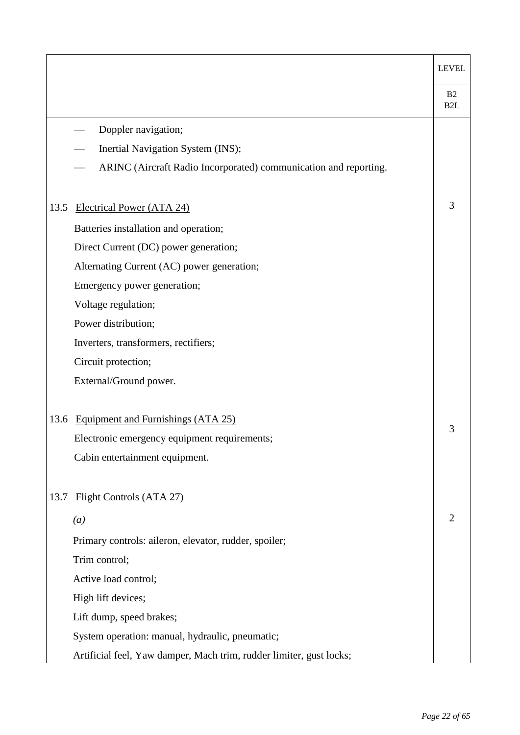|      |                                                                     | <b>LEVEL</b>           |
|------|---------------------------------------------------------------------|------------------------|
|      |                                                                     | B2<br>B <sub>2</sub> L |
|      | Doppler navigation;                                                 |                        |
|      | Inertial Navigation System (INS);                                   |                        |
|      | ARINC (Aircraft Radio Incorporated) communication and reporting.    |                        |
| 13.5 | Electrical Power (ATA 24)                                           | 3                      |
|      | Batteries installation and operation;                               |                        |
|      | Direct Current (DC) power generation;                               |                        |
|      | Alternating Current (AC) power generation;                          |                        |
|      | Emergency power generation;                                         |                        |
|      | Voltage regulation;                                                 |                        |
|      | Power distribution;                                                 |                        |
|      | Inverters, transformers, rectifiers;                                |                        |
|      | Circuit protection;                                                 |                        |
|      | External/Ground power.                                              |                        |
| 13.6 | Equipment and Furnishings (ATA 25)                                  |                        |
|      | Electronic emergency equipment requirements;                        | 3                      |
|      | Cabin entertainment equipment.                                      |                        |
| 13.7 | Flight Controls (ATA 27)                                            |                        |
|      | (a)                                                                 | 2                      |
|      | Primary controls: aileron, elevator, rudder, spoiler;               |                        |
|      | Trim control;                                                       |                        |
|      | Active load control;                                                |                        |
|      | High lift devices;                                                  |                        |
|      | Lift dump, speed brakes;                                            |                        |
|      | System operation: manual, hydraulic, pneumatic;                     |                        |
|      | Artificial feel, Yaw damper, Mach trim, rudder limiter, gust locks; |                        |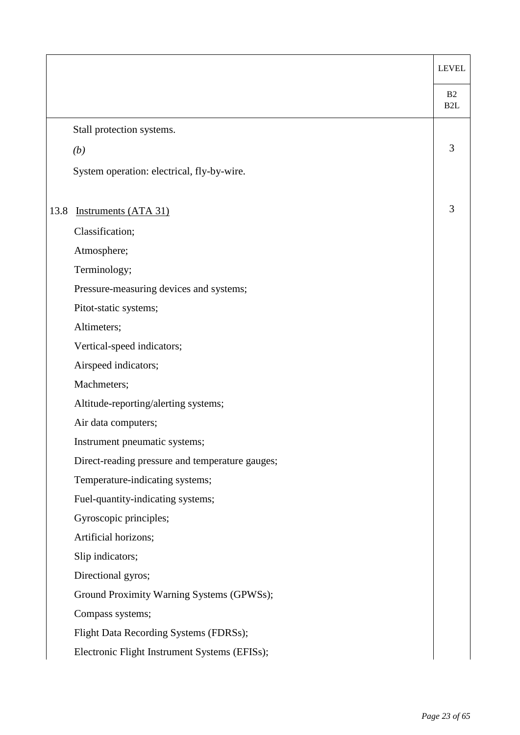|      |                                                 | <b>LEVEL</b>           |
|------|-------------------------------------------------|------------------------|
|      |                                                 | B2<br>B <sub>2</sub> L |
|      | Stall protection systems.                       |                        |
|      | (b)                                             | 3                      |
|      | System operation: electrical, fly-by-wire.      |                        |
| 13.8 | <b>Instruments (ATA 31)</b>                     | 3                      |
|      | Classification;                                 |                        |
|      | Atmosphere;                                     |                        |
|      | Terminology;                                    |                        |
|      | Pressure-measuring devices and systems;         |                        |
|      | Pitot-static systems;                           |                        |
|      | Altimeters;                                     |                        |
|      | Vertical-speed indicators;                      |                        |
|      | Airspeed indicators;                            |                        |
|      | Machmeters;                                     |                        |
|      | Altitude-reporting/alerting systems;            |                        |
|      | Air data computers;                             |                        |
|      | Instrument pneumatic systems;                   |                        |
|      | Direct-reading pressure and temperature gauges; |                        |
|      | Temperature-indicating systems;                 |                        |
|      | Fuel-quantity-indicating systems;               |                        |
|      | Gyroscopic principles;                          |                        |
|      | Artificial horizons;                            |                        |
|      | Slip indicators;                                |                        |
|      | Directional gyros;                              |                        |
|      | Ground Proximity Warning Systems (GPWSs);       |                        |
|      | Compass systems;                                |                        |
|      | Flight Data Recording Systems (FDRSs);          |                        |
|      | Electronic Flight Instrument Systems (EFISs);   |                        |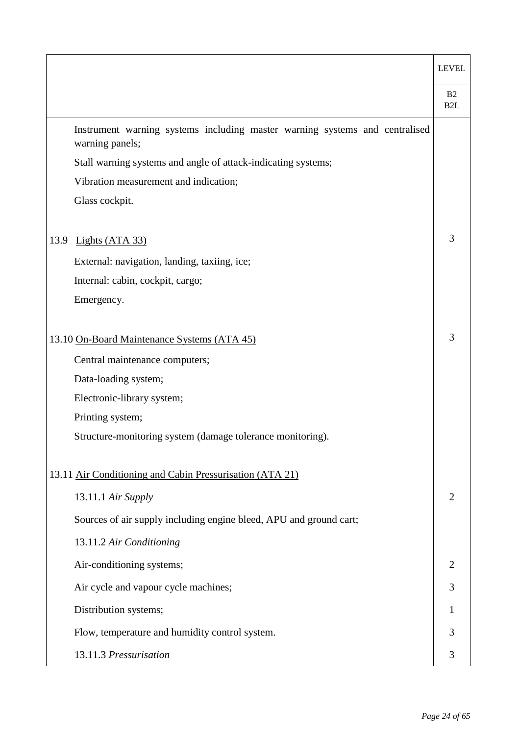|                                                                                                | <b>LEVEL</b>                       |
|------------------------------------------------------------------------------------------------|------------------------------------|
|                                                                                                | B <sub>2</sub><br>B <sub>2</sub> L |
| Instrument warning systems including master warning systems and centralised<br>warning panels; |                                    |
| Stall warning systems and angle of attack-indicating systems;                                  |                                    |
| Vibration measurement and indication;                                                          |                                    |
| Glass cockpit.                                                                                 |                                    |
| Lights (ATA 33)<br>13.9                                                                        | 3                                  |
| External: navigation, landing, taxiing, ice;                                                   |                                    |
| Internal: cabin, cockpit, cargo;                                                               |                                    |
| Emergency.                                                                                     |                                    |
| 13.10 On-Board Maintenance Systems (ATA 45)                                                    | 3                                  |
| Central maintenance computers;                                                                 |                                    |
| Data-loading system;                                                                           |                                    |
| Electronic-library system;                                                                     |                                    |
| Printing system;                                                                               |                                    |
| Structure-monitoring system (damage tolerance monitoring).                                     |                                    |
| 13.11 Air Conditioning and Cabin Pressurisation (ATA 21)                                       |                                    |
| 13.11.1 Air Supply                                                                             | 2                                  |
| Sources of air supply including engine bleed, APU and ground cart;                             |                                    |
| 13.11.2 Air Conditioning                                                                       |                                    |
| Air-conditioning systems;                                                                      |                                    |
| Air cycle and vapour cycle machines;                                                           | 3                                  |
| Distribution systems;                                                                          |                                    |
| Flow, temperature and humidity control system.                                                 | 3                                  |
| 13.11.3 Pressurisation                                                                         | 3                                  |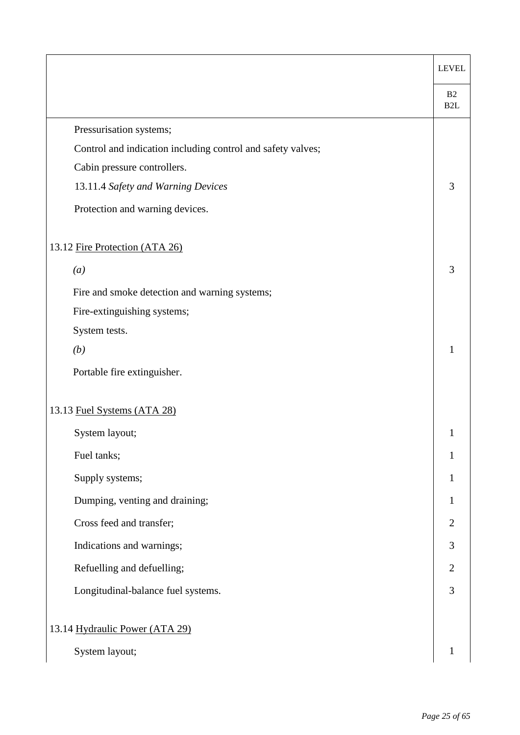|                                                             | <b>LEVEL</b>           |
|-------------------------------------------------------------|------------------------|
|                                                             | B2<br>B <sub>2</sub> L |
| Pressurisation systems;                                     |                        |
| Control and indication including control and safety valves; |                        |
| Cabin pressure controllers.                                 |                        |
| 13.11.4 Safety and Warning Devices                          | 3                      |
| Protection and warning devices.                             |                        |
| 13.12 Fire Protection (ATA 26)                              |                        |
| (a)                                                         | 3                      |
| Fire and smoke detection and warning systems;               |                        |
| Fire-extinguishing systems;                                 |                        |
| System tests.                                               |                        |
| (b)                                                         | 1                      |
| Portable fire extinguisher.                                 |                        |
| 13.13 Fuel Systems (ATA 28)                                 |                        |
| System layout;                                              | 1                      |
| Fuel tanks;                                                 | 1                      |
| Supply systems;                                             | 1                      |
| Dumping, venting and draining;                              | $\mathbf{1}$           |
| Cross feed and transfer;                                    | $\overline{2}$         |
| Indications and warnings;                                   | 3                      |
| Refuelling and defuelling;                                  | $\overline{2}$         |
| Longitudinal-balance fuel systems.                          | 3                      |
| 13.14 Hydraulic Power (ATA 29)                              |                        |
| System layout;                                              | $\mathbf{1}$           |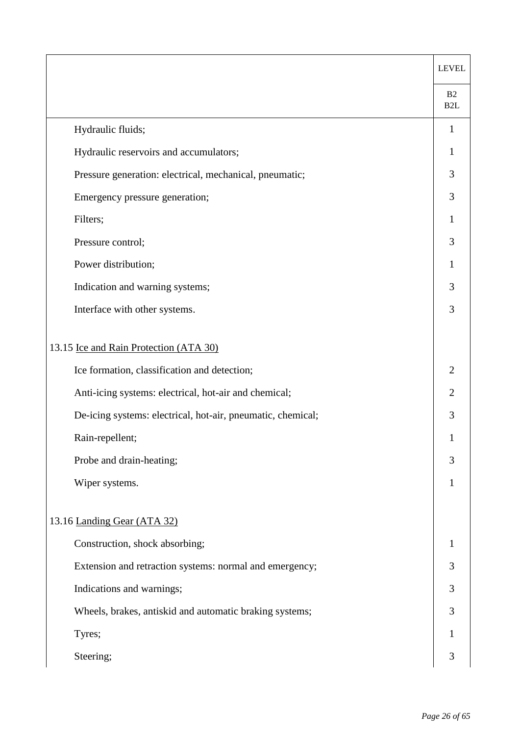|                                                             | <b>LEVEL</b>                       |
|-------------------------------------------------------------|------------------------------------|
|                                                             | B <sub>2</sub><br>B <sub>2</sub> L |
| Hydraulic fluids;                                           | 1                                  |
| Hydraulic reservoirs and accumulators;                      | 1                                  |
| Pressure generation: electrical, mechanical, pneumatic;     | 3                                  |
| Emergency pressure generation;                              | 3                                  |
| Filters;                                                    |                                    |
| Pressure control;                                           | 3                                  |
| Power distribution;                                         |                                    |
| Indication and warning systems;                             | 3                                  |
| Interface with other systems.                               | 3                                  |
| 13.15 Ice and Rain Protection (ATA 30)                      |                                    |
| Ice formation, classification and detection;                | 2                                  |
| Anti-icing systems: electrical, hot-air and chemical;       | $\overline{2}$                     |
| De-icing systems: electrical, hot-air, pneumatic, chemical; | 3                                  |
| Rain-repellent;                                             | 1                                  |
| Probe and drain-heating;                                    | 3                                  |
| Wiper systems.                                              |                                    |
| 13.16 Landing Gear (ATA 32)                                 |                                    |
| Construction, shock absorbing;                              |                                    |
| Extension and retraction systems: normal and emergency;     | 3                                  |
| Indications and warnings;                                   | 3                                  |
| Wheels, brakes, antiskid and automatic braking systems;     | 3                                  |
| Tyres;                                                      |                                    |
| Steering;                                                   | 3                                  |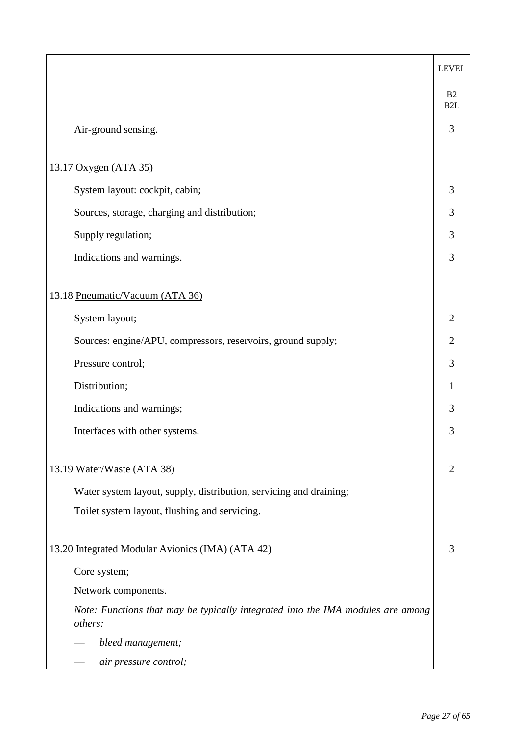|                                                                                            | <b>LEVEL</b>           |
|--------------------------------------------------------------------------------------------|------------------------|
|                                                                                            | B2<br>B <sub>2</sub> L |
| Air-ground sensing.                                                                        | 3                      |
|                                                                                            |                        |
| 13.17 Oxygen (ATA 35)                                                                      |                        |
| System layout: cockpit, cabin;                                                             | 3                      |
| Sources, storage, charging and distribution;                                               | 3                      |
| Supply regulation;                                                                         | 3                      |
| Indications and warnings.                                                                  | 3                      |
|                                                                                            |                        |
| 13.18 Pneumatic/Vacuum (ATA 36)                                                            |                        |
| System layout;                                                                             | $\overline{2}$         |
| Sources: engine/APU, compressors, reservoirs, ground supply;                               | $\overline{2}$         |
| Pressure control;                                                                          | 3                      |
| Distribution;                                                                              | 1                      |
| Indications and warnings;                                                                  | 3                      |
| Interfaces with other systems.                                                             | 3                      |
| 13.19 Water/Waste (ATA 38)                                                                 | $\overline{2}$         |
| Water system layout, supply, distribution, servicing and draining;                         |                        |
| Toilet system layout, flushing and servicing.                                              |                        |
|                                                                                            |                        |
| 13.20 Integrated Modular Avionics (IMA) (ATA 42)                                           | 3                      |
| Core system;                                                                               |                        |
| Network components.                                                                        |                        |
| Note: Functions that may be typically integrated into the IMA modules are among<br>others: |                        |
| bleed management;                                                                          |                        |
| air pressure control;                                                                      |                        |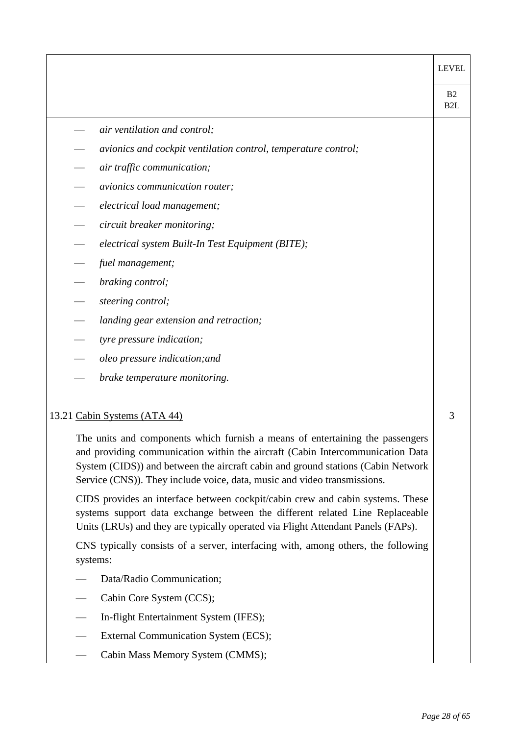|                                                                                                                                                                                                                                                                                                                                 | <b>LEVEL</b>                       |
|---------------------------------------------------------------------------------------------------------------------------------------------------------------------------------------------------------------------------------------------------------------------------------------------------------------------------------|------------------------------------|
|                                                                                                                                                                                                                                                                                                                                 | B <sub>2</sub><br>B <sub>2</sub> L |
| air ventilation and control;                                                                                                                                                                                                                                                                                                    |                                    |
| avionics and cockpit ventilation control, temperature control;                                                                                                                                                                                                                                                                  |                                    |
| air traffic communication;                                                                                                                                                                                                                                                                                                      |                                    |
| avionics communication router;                                                                                                                                                                                                                                                                                                  |                                    |
| electrical load management;                                                                                                                                                                                                                                                                                                     |                                    |
| circuit breaker monitoring;                                                                                                                                                                                                                                                                                                     |                                    |
| electrical system Built-In Test Equipment (BITE);                                                                                                                                                                                                                                                                               |                                    |
| fuel management;                                                                                                                                                                                                                                                                                                                |                                    |
| braking control;                                                                                                                                                                                                                                                                                                                |                                    |
| steering control;                                                                                                                                                                                                                                                                                                               |                                    |
| landing gear extension and retraction;                                                                                                                                                                                                                                                                                          |                                    |
| tyre pressure indication;                                                                                                                                                                                                                                                                                                       |                                    |
| oleo pressure indication; and                                                                                                                                                                                                                                                                                                   |                                    |
| brake temperature monitoring.                                                                                                                                                                                                                                                                                                   |                                    |
| 13.21 Cabin Systems (ATA 44)                                                                                                                                                                                                                                                                                                    | 3                                  |
| The units and components which furnish a means of entertaining the passengers<br>and providing communication within the aircraft (Cabin Intercommunication Data<br>System (CIDS)) and between the aircraft cabin and ground stations (Cabin Network<br>Service (CNS)). They include voice, data, music and video transmissions. |                                    |
| CIDS provides an interface between cockpit/cabin crew and cabin systems. These<br>systems support data exchange between the different related Line Replaceable<br>Units (LRUs) and they are typically operated via Flight Attendant Panels (FAPs).                                                                              |                                    |
| CNS typically consists of a server, interfacing with, among others, the following<br>systems:                                                                                                                                                                                                                                   |                                    |
| Data/Radio Communication;                                                                                                                                                                                                                                                                                                       |                                    |
| Cabin Core System (CCS);                                                                                                                                                                                                                                                                                                        |                                    |

- In-flight Entertainment System (IFES);
- External Communication System (ECS);
- Cabin Mass Memory System (CMMS);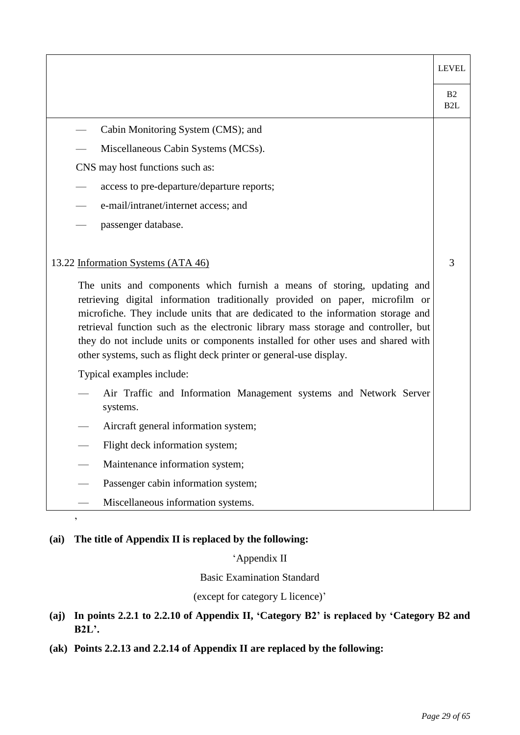|                                                                                                                                                                                                                                                                                                                                                                                                                                                                                                                                                                                                                                                                                         | <b>LEVEL</b>                       |
|-----------------------------------------------------------------------------------------------------------------------------------------------------------------------------------------------------------------------------------------------------------------------------------------------------------------------------------------------------------------------------------------------------------------------------------------------------------------------------------------------------------------------------------------------------------------------------------------------------------------------------------------------------------------------------------------|------------------------------------|
|                                                                                                                                                                                                                                                                                                                                                                                                                                                                                                                                                                                                                                                                                         | B <sub>2</sub><br>B <sub>2</sub> L |
| Cabin Monitoring System (CMS); and                                                                                                                                                                                                                                                                                                                                                                                                                                                                                                                                                                                                                                                      |                                    |
| Miscellaneous Cabin Systems (MCSs).                                                                                                                                                                                                                                                                                                                                                                                                                                                                                                                                                                                                                                                     |                                    |
| CNS may host functions such as:                                                                                                                                                                                                                                                                                                                                                                                                                                                                                                                                                                                                                                                         |                                    |
| access to pre-departure/departure reports;                                                                                                                                                                                                                                                                                                                                                                                                                                                                                                                                                                                                                                              |                                    |
| e-mail/intranet/internet access; and                                                                                                                                                                                                                                                                                                                                                                                                                                                                                                                                                                                                                                                    |                                    |
| passenger database.                                                                                                                                                                                                                                                                                                                                                                                                                                                                                                                                                                                                                                                                     |                                    |
| 13.22 Information Systems (ATA 46)<br>The units and components which furnish a means of storing, updating and<br>retrieving digital information traditionally provided on paper, microfilm or<br>microfiche. They include units that are dedicated to the information storage and<br>retrieval function such as the electronic library mass storage and controller, but<br>they do not include units or components installed for other uses and shared with<br>other systems, such as flight deck printer or general-use display.<br>Typical examples include:<br>Air Traffic and Information Management systems and Network Server<br>systems.<br>Aircraft general information system; | 3                                  |
| Flight deck information system;                                                                                                                                                                                                                                                                                                                                                                                                                                                                                                                                                                                                                                                         |                                    |
| Maintenance information system;                                                                                                                                                                                                                                                                                                                                                                                                                                                                                                                                                                                                                                                         |                                    |
| Passenger cabin information system;                                                                                                                                                                                                                                                                                                                                                                                                                                                                                                                                                                                                                                                     |                                    |
| Miscellaneous information systems.                                                                                                                                                                                                                                                                                                                                                                                                                                                                                                                                                                                                                                                      |                                    |

### **(ai) The title of Appendix II is replaced by the following:**

 $\overline{\phantom{a}}$ 

'Appendix II

Basic Examination Standard

(except for category L licence)'

## **(aj) In points 2.2.1 to 2.2.10 of Appendix II, 'Category B2' is replaced by 'Category B2 and B2L'.**

**(ak) Points 2.2.13 and 2.2.14 of Appendix II are replaced by the following:**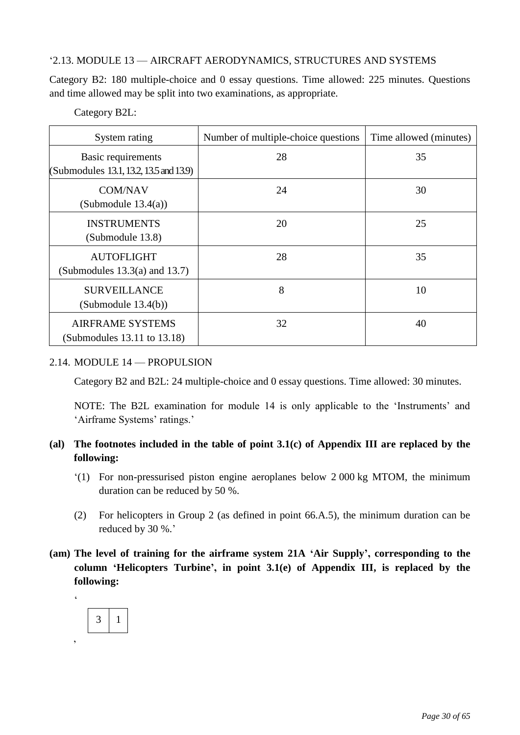### '2.13. MODULE 13 — AIRCRAFT AERODYNAMICS, STRUCTURES AND SYSTEMS

Category B2: 180 multiple-choice and 0 essay questions. Time allowed: 225 minutes. Questions and time allowed may be split into two examinations, as appropriate.

### Category B2L:

| System rating                                                | Number of multiple-choice questions | Time allowed (minutes) |
|--------------------------------------------------------------|-------------------------------------|------------------------|
| Basic requirements<br>(Submodules 13.1, 13.2, 13.5 and 13.9) | 28                                  | 35                     |
| <b>COM/NAV</b><br>(Submodule $13.4(a)$ )                     | 24                                  | 30                     |
| <b>INSTRUMENTS</b><br>(Submodule 13.8)                       | 20                                  | 25                     |
| <b>AUTOFLIGHT</b><br>(Submodules $13.3(a)$ and $13.7$ )      | 28                                  | 35                     |
| <b>SURVEILLANCE</b><br>(Submodule 13.4(b))                   | 8                                   | 10                     |
| <b>AIRFRAME SYSTEMS</b><br>(Submodules 13.11 to 13.18)       | 32                                  | 40                     |

### 2.14. MODULE 14 — PROPULSION

Category B2 and B2L: 24 multiple-choice and 0 essay questions. Time allowed: 30 minutes.

NOTE: The B2L examination for module 14 is only applicable to the 'Instruments' and 'Airframe Systems' ratings.'

## **(al) The footnotes included in the table of point 3.1(c) of Appendix III are replaced by the following:**

- '(1) For non-pressurised piston engine aeroplanes below 2 000 kg MTOM, the minimum duration can be reduced by 50 %.
- (2) For helicopters in Group 2 (as defined in point 66.A.5), the minimum duration can be reduced by 30 %.'
- **(am) The level of training for the airframe system 21A 'Air Supply', corresponding to the column 'Helicopters Turbine', in point 3.1(e) of Appendix III, is replaced by the following:**

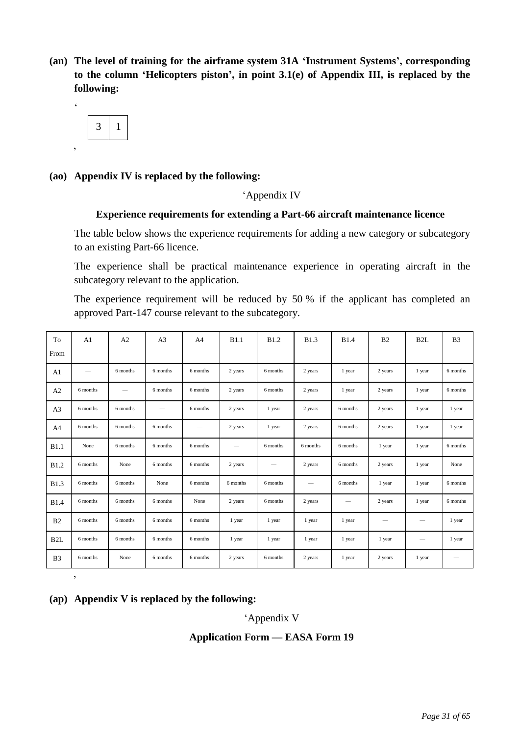**(an) The level of training for the airframe system 31A 'Instrument Systems', corresponding to the column 'Helicopters piston', in point 3.1(e) of Appendix III, is replaced by the following:**



'

#### **(ao) Appendix IV is replaced by the following:**

#### 'Appendix IV

#### **Experience requirements for extending a Part-66 aircraft maintenance licence.**

The table below shows the experience requirements for adding a new category or subcategory to an existing Part-66 licence.

The experience shall be practical maintenance experience in operating aircraft in the subcategory relevant to the application.

The experience requirement will be reduced by 50 % if the applicant has completed an approved Part-147 course relevant to the subcategory.

| To<br>From       | A <sub>1</sub>           | A <sub>2</sub>           | A <sub>3</sub>  | A <sup>4</sup> | B1.1                     | <b>B1.2</b> | <b>B1.3</b>     | <b>B1.4</b>              | B <sub>2</sub>           | B2L    | B <sub>3</sub> |
|------------------|--------------------------|--------------------------|-----------------|----------------|--------------------------|-------------|-----------------|--------------------------|--------------------------|--------|----------------|
|                  |                          |                          |                 |                |                          |             |                 |                          |                          |        |                |
| A1               | $\overline{\phantom{0}}$ | 6 months                 | 6 months        | 6 months       | 2 years                  | 6 months    | 2 years         | 1 year                   | 2 years                  | 1 year | 6 months       |
| A2               | 6 months                 | $\overline{\phantom{0}}$ | 6 months        | 6 months       | 2 years                  | 6 months    | 2 years         | 1 year                   | 2 years                  | 1 year | 6 months       |
| A3               | 6 months                 | 6 months                 | $\qquad \qquad$ | 6 months       | 2 years                  | 1 year      | 2 years         | 6 months                 | 2 years                  | 1 year | 1 year         |
| A4               | 6 months                 | 6 months                 | 6 months        |                | 2 years                  | 1 year      | 2 years         | 6 months                 | 2 years                  | 1 year | 1 year         |
| B1.1             | None                     | 6 months                 | 6 months        | 6 months       | $\overline{\phantom{0}}$ | 6 months    | 6 months        | 6 months                 | 1 year                   | 1 year | 6 months       |
| <b>B1.2</b>      | 6 months                 | None                     | 6 months        | 6 months       | 2 years                  |             | 2 years         | 6 months                 | 2 years                  | 1 year | None           |
| <b>B1.3</b>      | 6 months                 | 6 months                 | None            | 6 months       | 6 months                 | 6 months    | $\qquad \qquad$ | 6 months                 | 1 year                   | 1 year | 6 months       |
| <b>B1.4</b>      | 6 months                 | 6 months                 | 6 months        | None           | 2 years                  | 6 months    | 2 years         | $\overline{\phantom{0}}$ | 2 years                  | 1 year | 6 months       |
| B2               | 6 months                 | 6 months                 | 6 months        | 6 months       | 1 year                   | 1 year      | 1 year          | 1 year                   | $\overline{\phantom{m}}$ |        | 1 year         |
| B <sub>2</sub> L | 6 months                 | 6 months                 | 6 months        | 6 months       | 1 year                   | 1 year      | 1 year          | 1 year                   | 1 year                   |        | 1 year         |
| B <sub>3</sub>   | 6 months                 | None                     | 6 months        | 6 months       | 2 years                  | 6 months    | 2 years         | 1 year                   | 2 years                  | 1 year |                |

#### **(ap) Appendix V is replaced by the following:**

'

#### 'Appendix V

#### **Application Form — EASA Form 19**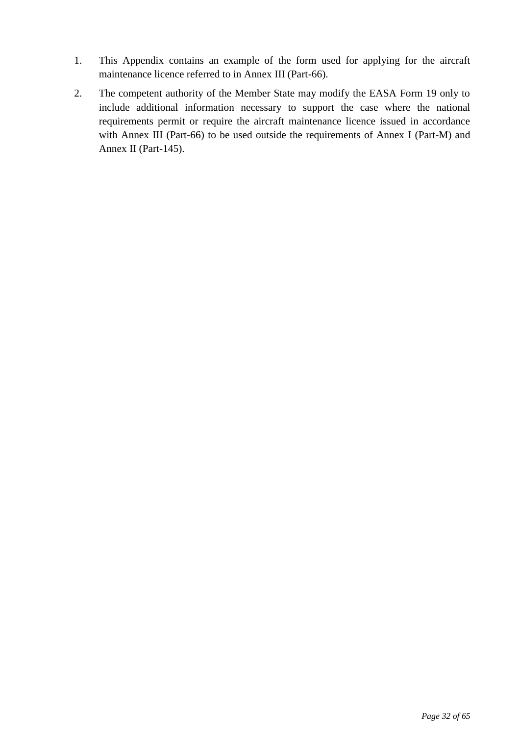- 1. This Appendix contains an example of the form used for applying for the aircraft maintenance licence referred to in Annex III (Part-66).
- 2. The competent authority of the Member State may modify the EASA Form 19 only to include additional information necessary to support the case where the national requirements permit or require the aircraft maintenance licence issued in accordance with Annex III (Part-66) to be used outside the requirements of Annex I (Part-M) and Annex II (Part-145).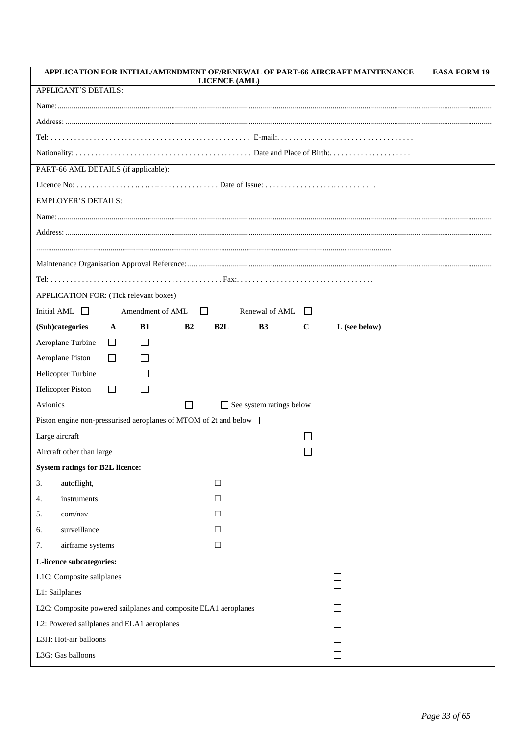|                                                                         |              |                  |                | <b>LICENCE (AML)</b> |                                 |             | APPLICATION FOR INITIAL/AMENDMENT OF/RENEWAL OF PART-66 AIRCRAFT MAINTENANCE | <b>EASA FORM 19</b> |  |
|-------------------------------------------------------------------------|--------------|------------------|----------------|----------------------|---------------------------------|-------------|------------------------------------------------------------------------------|---------------------|--|
| APPLICANT'S DETAILS:                                                    |              |                  |                |                      |                                 |             |                                                                              |                     |  |
|                                                                         |              |                  |                |                      |                                 |             |                                                                              |                     |  |
|                                                                         |              |                  |                |                      |                                 |             |                                                                              |                     |  |
|                                                                         |              |                  |                |                      |                                 |             |                                                                              |                     |  |
|                                                                         |              |                  |                |                      |                                 |             |                                                                              |                     |  |
| PART-66 AML DETAILS (if applicable):                                    |              |                  |                |                      |                                 |             |                                                                              |                     |  |
|                                                                         |              |                  |                |                      |                                 |             |                                                                              |                     |  |
| <b>EMPLOYER'S DETAILS:</b>                                              |              |                  |                |                      |                                 |             |                                                                              |                     |  |
|                                                                         |              |                  |                |                      |                                 |             |                                                                              |                     |  |
|                                                                         |              |                  |                |                      |                                 |             |                                                                              |                     |  |
|                                                                         |              |                  |                |                      |                                 |             |                                                                              |                     |  |
|                                                                         |              |                  |                |                      |                                 |             |                                                                              |                     |  |
|                                                                         |              |                  |                |                      |                                 |             |                                                                              |                     |  |
| APPLICATION FOR: (Tick relevant boxes)                                  |              |                  |                |                      |                                 |             |                                                                              |                     |  |
| Initial AML $\Box$                                                      |              | Amendment of AML | $\perp$        |                      | Renewal of AML                  | $\pm$       |                                                                              |                     |  |
| (Sub)categories                                                         | A            | <b>B1</b>        | B <sub>2</sub> | B2L                  | B <sub>3</sub>                  | $\mathbf C$ | L (see below)                                                                |                     |  |
| Aeroplane Turbine                                                       | $\Box$       | $\Box$           |                |                      |                                 |             |                                                                              |                     |  |
| Aeroplane Piston                                                        | $\perp$      |                  |                |                      |                                 |             |                                                                              |                     |  |
| Helicopter Turbine                                                      | $\Box$       |                  |                |                      |                                 |             |                                                                              |                     |  |
| <b>Helicopter Piston</b>                                                | $\mathsf{L}$ |                  |                |                      |                                 |             |                                                                              |                     |  |
| Avionics                                                                |              |                  | $\blacksquare$ |                      | $\Box$ See system ratings below |             |                                                                              |                     |  |
| Piston engine non-pressurised aeroplanes of MTOM of 2t and below $\Box$ |              |                  |                |                      |                                 |             |                                                                              |                     |  |
| Large aircraft                                                          |              |                  |                |                      |                                 |             |                                                                              |                     |  |
| Aircraft other than large                                               |              |                  |                |                      |                                 |             |                                                                              |                     |  |
| <b>System ratings for B2L licence:</b>                                  |              |                  |                |                      |                                 |             |                                                                              |                     |  |
| autoflight,<br>3.                                                       |              |                  |                | $\Box$               |                                 |             |                                                                              |                     |  |
| instruments<br>4.                                                       |              |                  |                | $\Box$               |                                 |             |                                                                              |                     |  |
| com/nav<br>5.                                                           |              |                  |                | $\Box$               |                                 |             |                                                                              |                     |  |
| surveillance<br>6.                                                      |              |                  |                | $\Box$               |                                 |             |                                                                              |                     |  |
| airframe systems<br>7.                                                  |              |                  |                | $\Box$               |                                 |             |                                                                              |                     |  |
| L-licence subcategories:                                                |              |                  |                |                      |                                 |             |                                                                              |                     |  |
| L1C: Composite sailplanes                                               |              |                  |                |                      |                                 |             | $\perp$                                                                      |                     |  |
| L1: Sailplanes                                                          |              |                  |                |                      |                                 |             |                                                                              |                     |  |
| L2C: Composite powered sailplanes and composite ELA1 aeroplanes         |              |                  |                |                      |                                 |             |                                                                              |                     |  |
| L2: Powered sailplanes and ELA1 aeroplanes                              |              |                  |                |                      |                                 |             |                                                                              |                     |  |
| L3H: Hot-air balloons                                                   |              |                  |                |                      |                                 |             |                                                                              |                     |  |
| L3G: Gas balloons                                                       |              |                  |                |                      |                                 |             | $\Box$                                                                       |                     |  |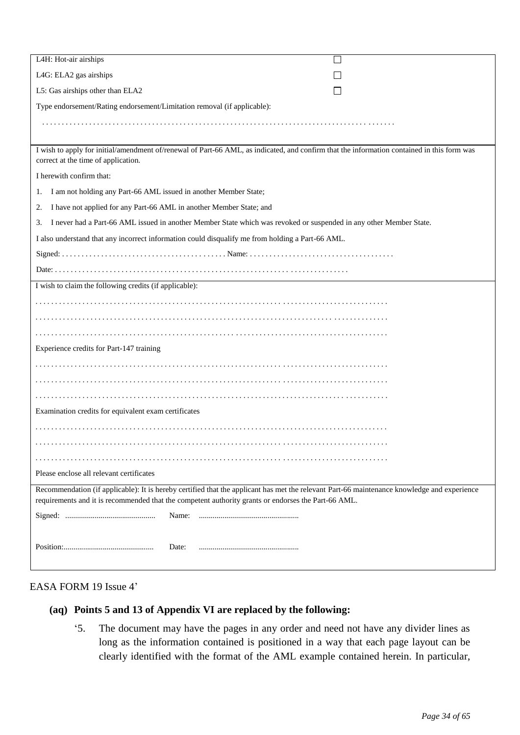| L4H: Hot-air airships<br>×.                                                                                                                                                       |
|-----------------------------------------------------------------------------------------------------------------------------------------------------------------------------------|
| L4G: ELA2 gas airships                                                                                                                                                            |
| L5: Gas airships other than ELA2                                                                                                                                                  |
| Type endorsement/Rating endorsement/Limitation removal (if applicable):                                                                                                           |
|                                                                                                                                                                                   |
|                                                                                                                                                                                   |
| I wish to apply for initial/amendment of/renewal of Part-66 AML, as indicated, and confirm that the information contained in this form was<br>correct at the time of application. |
| I herewith confirm that:                                                                                                                                                          |
| I am not holding any Part-66 AML issued in another Member State;<br>1.                                                                                                            |
| I have not applied for any Part-66 AML in another Member State; and<br>2.                                                                                                         |
| I never had a Part-66 AML issued in another Member State which was revoked or suspended in any other Member State.<br>3.                                                          |
| I also understand that any incorrect information could disqualify me from holding a Part-66 AML.                                                                                  |
|                                                                                                                                                                                   |
|                                                                                                                                                                                   |
| I wish to claim the following credits (if applicable):                                                                                                                            |
|                                                                                                                                                                                   |
|                                                                                                                                                                                   |
|                                                                                                                                                                                   |
| Experience credits for Part-147 training                                                                                                                                          |
|                                                                                                                                                                                   |
|                                                                                                                                                                                   |
|                                                                                                                                                                                   |
| Examination credits for equivalent exam certificates                                                                                                                              |
|                                                                                                                                                                                   |
|                                                                                                                                                                                   |
|                                                                                                                                                                                   |
| Please enclose all relevant certificates                                                                                                                                          |
| Recommendation (if applicable): It is hereby certified that the applicant has met the relevant Part-66 maintenance knowledge and experience                                       |
| requirements and it is recommended that the competent authority grants or endorses the Part-66 AML.                                                                               |
| Name:                                                                                                                                                                             |
|                                                                                                                                                                                   |
| Date:                                                                                                                                                                             |
|                                                                                                                                                                                   |

#### EASA FORM 19 Issue 4'

# **(aq) Points 5 and 13 of Appendix VI are replaced by the following:**

'5. The document may have the pages in any order and need not have any divider lines as long as the information contained is positioned in a way that each page layout can be clearly identified with the format of the AML example contained herein. In particular,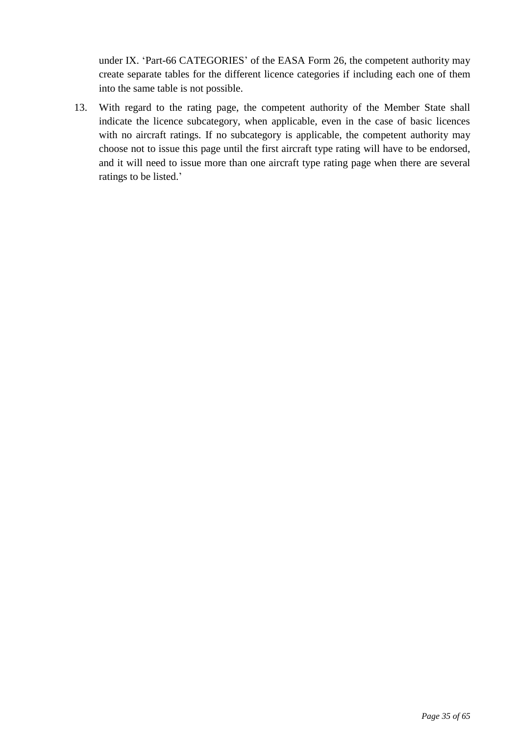under IX. 'Part-66 CATEGORIES' of the EASA Form 26, the competent authority may create separate tables for the different licence categories if including each one of them into the same table is not possible.

13. With regard to the rating page, the competent authority of the Member State shall indicate the licence subcategory, when applicable, even in the case of basic licences with no aircraft ratings. If no subcategory is applicable, the competent authority may choose not to issue this page until the first aircraft type rating will have to be endorsed, and it will need to issue more than one aircraft type rating page when there are several ratings to be listed.'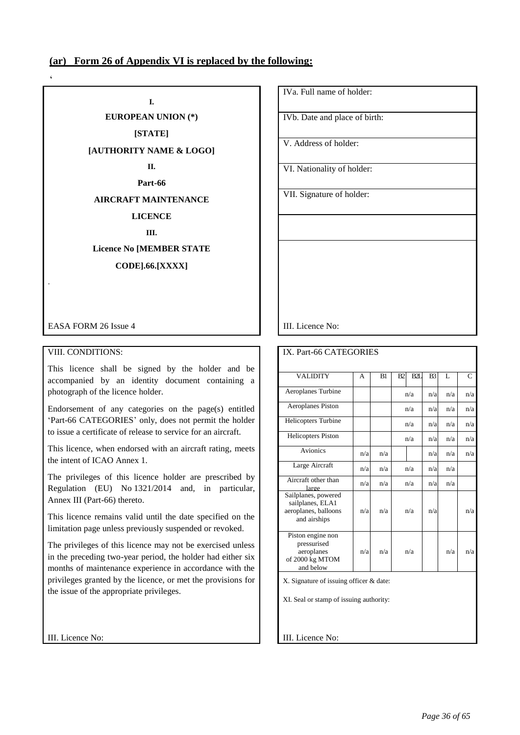### **(ar) Form 26 of Appendix VI is replaced by the following:**

 $\overline{\phantom{a}}$ 

.

**I. EUROPEAN UNION (\*) [STATE] [AUTHORITY NAME & LOGO] II. Part-66 AIRCRAFT MAINTENANCE LICENCE III. Licence No [MEMBER STATE CODE].66.[XXXX]**

EASA FORM 26 Issue 4 III. Licence No:

#### VIII. CONDITIONS:

This licence shall be signed by the holder and be accompanied by an identity document containing a photograph of the licence holder.

Endorsement of any categories on the page(s) entitled 'Part-66 CATEGORIES' only, does not permit the holder to issue a certificate of release to service for an aircraft.

This licence, when endorsed with an aircraft rating, meets the intent of ICAO Annex 1.

The privileges of this licence holder are prescribed by Regulation (EU) No 1321/2014 and, in particular, Annex III (Part-66) thereto.

This licence remains valid until the date specified on the limitation page unless previously suspended or revoked.

The privileges of this licence may not be exercised unless in the preceding two-year period, the holder had either six months of maintenance experience in accordance with the privileges granted by the licence, or met the provisions for the issue of the appropriate privileges.

IVa. Full name of holder:

IVb. Date and place of birth:

V. Address of holder:

VI. Nationality of holder:

VII. Signature of holder:

| IX. Part-66 CATEGORIES                                                          |     |     |    |     |                |     |     |
|---------------------------------------------------------------------------------|-----|-----|----|-----|----------------|-----|-----|
|                                                                                 |     |     |    |     |                |     |     |
| <b>VALIDITY</b>                                                                 | A   | B1  | B2 | B2I | B <sub>3</sub> | L   | C   |
| Aeroplanes Turbine                                                              |     |     |    | n/a | n/a            | n/a | n/a |
| Aeroplanes Piston                                                               |     |     |    | n/a | n/a            | n/a | n/a |
| Helicopters Turbine                                                             |     |     |    | n/a | n/a            | n/a | n/a |
| <b>Helicopters Piston</b>                                                       |     |     |    | n/a | n/a            | n/a | n/a |
| <b>Avionics</b>                                                                 | n/a | n/a |    |     | n/a            | n/a | n/a |
| Large Aircraft                                                                  | n/a | n/a |    | n/a | n/a            | n/a |     |
| Aircraft other than<br>large                                                    | n/a | n/a |    | n/a | n/a            | n/a |     |
| Sailplanes, powered<br>sailplanes, ELA1<br>aeroplanes, balloons<br>and airships | n/a | n/a |    | n/a | n/a            |     | n/a |
| Piston engine non<br>pressurised<br>aeroplanes<br>of 2000 kg MTOM<br>and below  | n/a | n/a |    | n/a |                | n/a | n/a |
| X. Signature of issuing officer & date:                                         |     |     |    |     |                |     |     |

XI. Seal or stamp of issuing authority:

III. Licence No: **III. Licence No: III.** Licence No: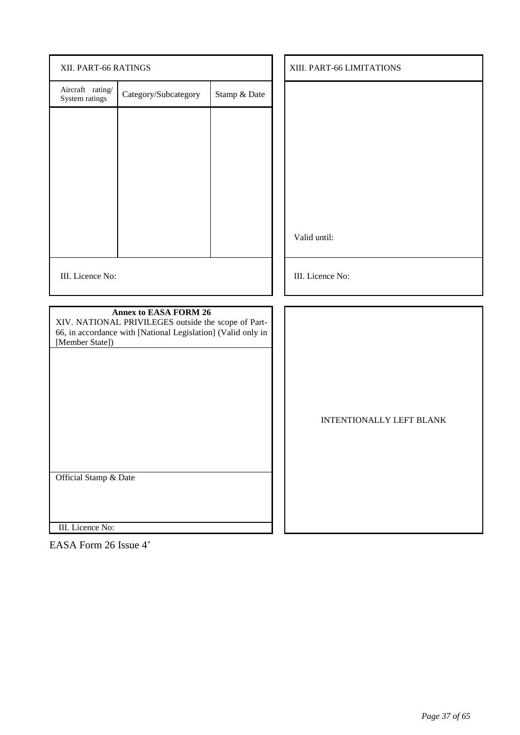| XII. PART-66 RATINGS               |                                                                                                                                                     |              | XIII. PART-66 LIMITATIONS       |
|------------------------------------|-----------------------------------------------------------------------------------------------------------------------------------------------------|--------------|---------------------------------|
| Aircraft rating/<br>System ratings | Category/Subcategory                                                                                                                                | Stamp & Date |                                 |
|                                    |                                                                                                                                                     |              |                                 |
|                                    |                                                                                                                                                     |              |                                 |
|                                    |                                                                                                                                                     |              |                                 |
|                                    |                                                                                                                                                     |              |                                 |
|                                    |                                                                                                                                                     |              | Valid until:                    |
| III. Licence No:                   |                                                                                                                                                     |              | III. Licence No:                |
| [Member State])                    | <b>Annex to EASA FORM 26</b><br>XIV. NATIONAL PRIVILEGES outside the scope of Part-<br>66, in accordance with [National Legislation] (Valid only in |              |                                 |
|                                    |                                                                                                                                                     |              |                                 |
|                                    |                                                                                                                                                     |              | <b>INTENTIONALLY LEFT BLANK</b> |
| Official Stamp & Date              |                                                                                                                                                     |              |                                 |
| III. Licence No:                   |                                                                                                                                                     |              |                                 |

EASA Form 26 Issue 4'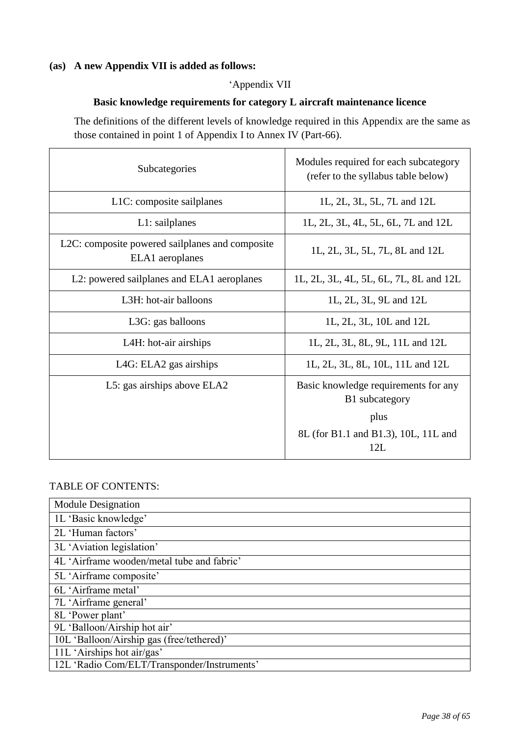# **(as) A new Appendix VII is added as follows:**

## 'Appendix VII

### **Basic knowledge requirements for category L aircraft maintenance licence**

The definitions of the different levels of knowledge required in this Appendix are the same as those contained in point 1 of Appendix I to Annex IV (Part-66).

| Subcategories                                                      | Modules required for each subcategory<br>(refer to the syllabus table below) |
|--------------------------------------------------------------------|------------------------------------------------------------------------------|
| L1C: composite sailplanes                                          | 1L, 2L, 3L, 5L, 7L and 12L                                                   |
| $L1:$ sailplanes                                                   | 1L, 2L, 3L, 4L, 5L, 6L, 7L and 12L                                           |
| L2C: composite powered sailplanes and composite<br>ELA1 aeroplanes | 1L, 2L, 3L, 5L, 7L, 8L and 12L                                               |
| L2: powered sailplanes and ELA1 aeroplanes                         | 1L, 2L, 3L, 4L, 5L, 6L, 7L, 8L and 12L                                       |
| L3H: hot-air balloons                                              | 1L, 2L, 3L, 9L and 12L                                                       |
| L3G: gas balloons                                                  | 1L, 2L, 3L, 10L and 12L                                                      |
| L4H: hot-air airships                                              | 1L, 2L, 3L, 8L, 9L, 11L and 12L                                              |
| LAG: ELA2 gas airships                                             | 1L, 2L, 3L, 8L, 10L, 11L and 12L                                             |
| L5: gas airships above ELA2                                        | Basic knowledge requirements for any<br>B1 subcategory                       |
|                                                                    | plus                                                                         |
|                                                                    | 8L (for B1.1 and B1.3), 10L, 11L and<br>12L                                  |

### TABLE OF CONTENTS:

| <b>Module Designation</b>                   |
|---------------------------------------------|
| 1L 'Basic knowledge'                        |
| 2L 'Human factors'                          |
| 3L 'Aviation legislation'                   |
| 4L 'Airframe wooden/metal tube and fabric'  |
| 5L 'Airframe composite'                     |
| 6L 'Airframe metal'                         |
| 7L 'Airframe general'                       |
| 8L 'Power plant'                            |
| 9L 'Balloon/Airship hot air'                |
| 10L 'Balloon/Airship gas (free/tethered)'   |
| 11L 'Airships hot air/gas'                  |
| 12L 'Radio Com/ELT/Transponder/Instruments' |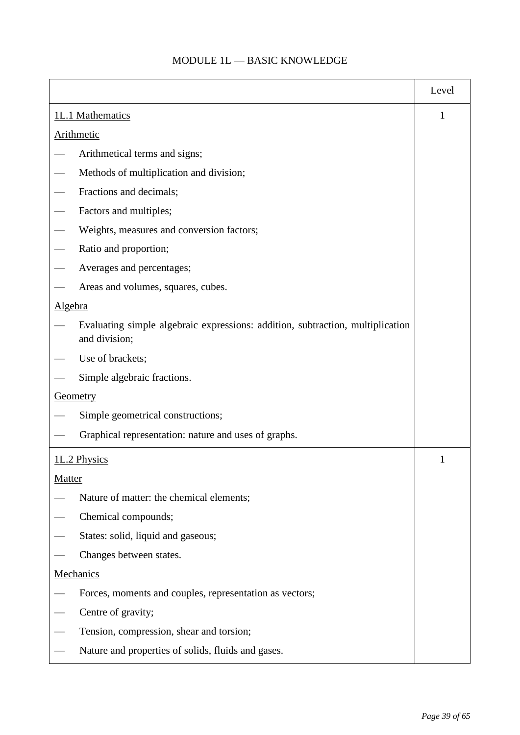# $\operatorname{MODULE}$  1L — BASIC KNOWLEDGE

|                   |                                                                                                 | Level |
|-------------------|-------------------------------------------------------------------------------------------------|-------|
| 1L.1 Mathematics  |                                                                                                 | 1     |
| <b>Arithmetic</b> |                                                                                                 |       |
|                   | Arithmetical terms and signs;                                                                   |       |
|                   | Methods of multiplication and division;                                                         |       |
|                   | Fractions and decimals;                                                                         |       |
|                   | Factors and multiples;                                                                          |       |
|                   | Weights, measures and conversion factors;                                                       |       |
|                   | Ratio and proportion;                                                                           |       |
|                   | Averages and percentages;                                                                       |       |
|                   | Areas and volumes, squares, cubes.                                                              |       |
| <b>Algebra</b>    |                                                                                                 |       |
|                   | Evaluating simple algebraic expressions: addition, subtraction, multiplication<br>and division; |       |
|                   | Use of brackets;                                                                                |       |
|                   | Simple algebraic fractions.                                                                     |       |
| <b>Geometry</b>   |                                                                                                 |       |
|                   | Simple geometrical constructions;                                                               |       |
|                   | Graphical representation: nature and uses of graphs.                                            |       |
| 1L.2 Physics      |                                                                                                 | 1     |
| Matter            |                                                                                                 |       |
|                   | Nature of matter: the chemical elements;                                                        |       |
|                   | Chemical compounds;                                                                             |       |
|                   | States: solid, liquid and gaseous;                                                              |       |
|                   | Changes between states.                                                                         |       |
| Mechanics         |                                                                                                 |       |
|                   | Forces, moments and couples, representation as vectors;                                         |       |
|                   | Centre of gravity;                                                                              |       |
|                   | Tension, compression, shear and torsion;                                                        |       |
|                   | Nature and properties of solids, fluids and gases.                                              |       |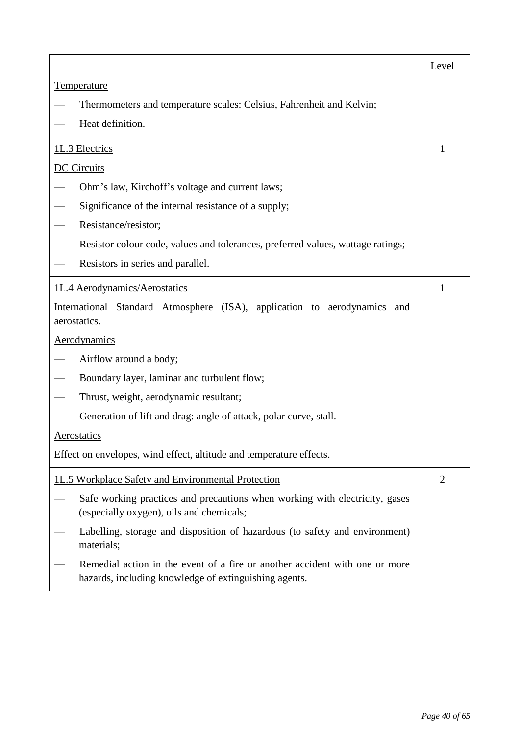|                                                                                                                                      | Level          |  |
|--------------------------------------------------------------------------------------------------------------------------------------|----------------|--|
| <b>Temperature</b>                                                                                                                   |                |  |
| Thermometers and temperature scales: Celsius, Fahrenheit and Kelvin;                                                                 |                |  |
| Heat definition.                                                                                                                     |                |  |
| 1L.3 Electrics                                                                                                                       | 1              |  |
| <b>DC</b> Circuits                                                                                                                   |                |  |
| Ohm's law, Kirchoff's voltage and current laws;                                                                                      |                |  |
| Significance of the internal resistance of a supply;                                                                                 |                |  |
| Resistance/resistor;                                                                                                                 |                |  |
| Resistor colour code, values and tolerances, preferred values, wattage ratings;                                                      |                |  |
| Resistors in series and parallel.                                                                                                    |                |  |
| 1L.4 Aerodynamics/Aerostatics                                                                                                        |                |  |
| International Standard Atmosphere (ISA), application to aerodynamics and<br>aerostatics.                                             |                |  |
| <b>Aerodynamics</b>                                                                                                                  |                |  |
| Airflow around a body;                                                                                                               |                |  |
| Boundary layer, laminar and turbulent flow;                                                                                          |                |  |
| Thrust, weight, aerodynamic resultant;                                                                                               |                |  |
| Generation of lift and drag: angle of attack, polar curve, stall.                                                                    |                |  |
| Aerostatics                                                                                                                          |                |  |
| Effect on envelopes, wind effect, altitude and temperature effects.                                                                  |                |  |
| 1L.5 Workplace Safety and Environmental Protection                                                                                   | $\overline{2}$ |  |
| Safe working practices and precautions when working with electricity, gases<br>(especially oxygen), oils and chemicals;              |                |  |
| Labelling, storage and disposition of hazardous (to safety and environment)<br>materials;                                            |                |  |
| Remedial action in the event of a fire or another accident with one or more<br>hazards, including knowledge of extinguishing agents. |                |  |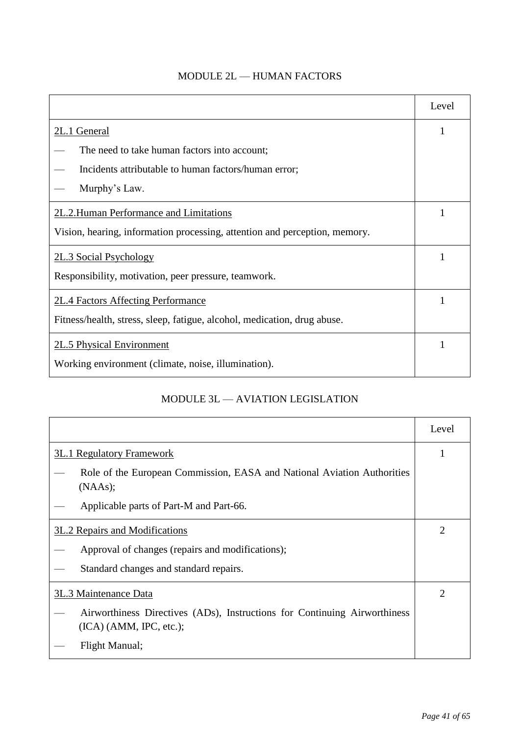|                                                                            | Level |
|----------------------------------------------------------------------------|-------|
| 2L.1 General                                                               | 1     |
| The need to take human factors into account;                               |       |
| Incidents attributable to human factors/human error;                       |       |
| Murphy's Law.                                                              |       |
| 2L.2. Human Performance and Limitations                                    |       |
| Vision, hearing, information processing, attention and perception, memory. |       |
| 2L.3 Social Psychology                                                     |       |
| Responsibility, motivation, peer pressure, teamwork.                       |       |
| 2L.4 Factors Affecting Performance                                         |       |
| Fitness/health, stress, sleep, fatigue, alcohol, medication, drug abuse.   |       |
| <b>2L.5 Physical Environment</b>                                           |       |
| Working environment (climate, noise, illumination).                        |       |

# MODULE 3L — AVIATION LEGISLATION

|                                                                                                        | Level |
|--------------------------------------------------------------------------------------------------------|-------|
| <b>3L.1 Regulatory Framework</b>                                                                       |       |
| Role of the European Commission, EASA and National Aviation Authorities<br>(NAAs);                     |       |
| Applicable parts of Part-M and Part-66.                                                                |       |
| 3L.2 Repairs and Modifications                                                                         |       |
| Approval of changes (repairs and modifications);                                                       |       |
| Standard changes and standard repairs.                                                                 |       |
| 3L.3 Maintenance Data                                                                                  |       |
| Airworthiness Directives (ADs), Instructions for Continuing Airworthiness<br>$(ICA)$ (AMM, IPC, etc.); |       |
| Flight Manual;                                                                                         |       |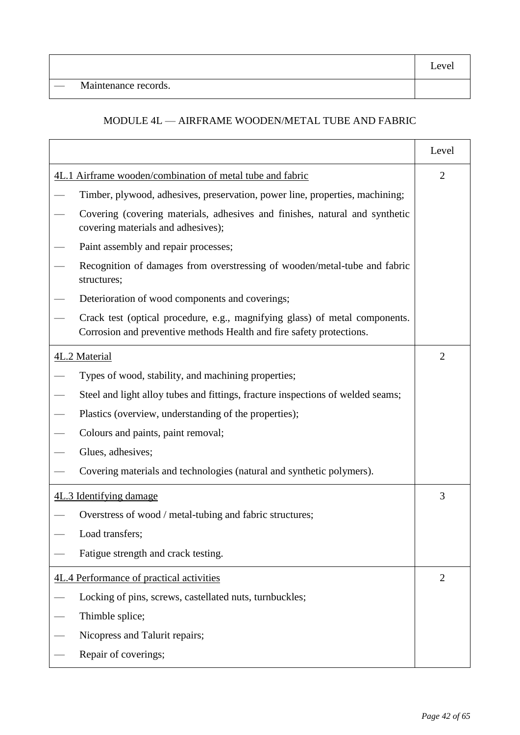— Maintenance records.

## MODULE 4L — AIRFRAME WOODEN/METAL TUBE AND FABRIC

|                                                           |                                                                                                                                                     | Level          |
|-----------------------------------------------------------|-----------------------------------------------------------------------------------------------------------------------------------------------------|----------------|
| 4L.1 Airframe wooden/combination of metal tube and fabric |                                                                                                                                                     | $\overline{2}$ |
|                                                           | Timber, plywood, adhesives, preservation, power line, properties, machining;                                                                        |                |
|                                                           | Covering (covering materials, adhesives and finishes, natural and synthetic<br>covering materials and adhesives);                                   |                |
|                                                           | Paint assembly and repair processes;                                                                                                                |                |
| structures;                                               | Recognition of damages from overstressing of wooden/metal-tube and fabric                                                                           |                |
|                                                           | Deterioration of wood components and coverings;                                                                                                     |                |
|                                                           | Crack test (optical procedure, e.g., magnifying glass) of metal components.<br>Corrosion and preventive methods Health and fire safety protections. |                |
| 4L.2 Material                                             |                                                                                                                                                     | $\overline{2}$ |
|                                                           | Types of wood, stability, and machining properties;                                                                                                 |                |
|                                                           | Steel and light alloy tubes and fittings, fracture inspections of welded seams;                                                                     |                |
|                                                           | Plastics (overview, understanding of the properties);                                                                                               |                |
|                                                           | Colours and paints, paint removal;                                                                                                                  |                |
| Glues, adhesives;                                         |                                                                                                                                                     |                |
|                                                           | Covering materials and technologies (natural and synthetic polymers).                                                                               |                |
| 4L.3 Identifying damage                                   |                                                                                                                                                     | 3              |
|                                                           | Overstress of wood / metal-tubing and fabric structures;                                                                                            |                |
| Load transfers;                                           |                                                                                                                                                     |                |
|                                                           | Fatigue strength and crack testing.                                                                                                                 |                |
| 4L.4 Performance of practical activities                  |                                                                                                                                                     | $\overline{2}$ |
|                                                           | Locking of pins, screws, castellated nuts, turnbuckles;                                                                                             |                |
| Thimble splice;                                           |                                                                                                                                                     |                |
| Nicopress and Talurit repairs;                            |                                                                                                                                                     |                |
| Repair of coverings;                                      |                                                                                                                                                     |                |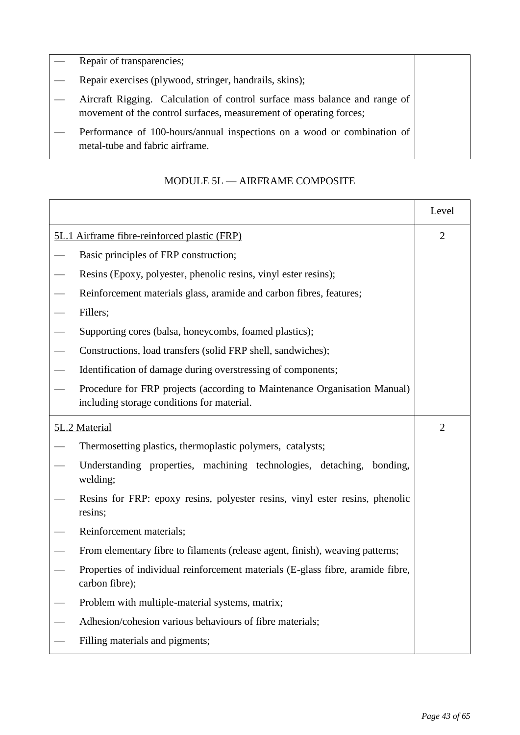|                          | $\left  \begin{array}{c} - \\ \end{array} \right $ Repair of transparencies; |
|--------------------------|------------------------------------------------------------------------------|
| $\overline{\phantom{a}}$ | Repair exercises (plywood, stringer, handrails, skins);                      |
|                          | Aircraft Rigging. Calculation of control surface mass balance and range of   |
|                          | movement of the control surfaces, measurement of operating forces;           |

— Performance of 100-hours/annual inspections on a wood or combination of metal-tube and fabric airframe.

|                                                                                                                         | Level |
|-------------------------------------------------------------------------------------------------------------------------|-------|
| 5L.1 Airframe fibre-reinforced plastic (FRP)                                                                            |       |
| Basic principles of FRP construction;                                                                                   |       |
| Resins (Epoxy, polyester, phenolic resins, vinyl ester resins);                                                         |       |
| Reinforcement materials glass, aramide and carbon fibres, features;                                                     |       |
| Fillers;                                                                                                                |       |
| Supporting cores (balsa, honeycombs, foamed plastics);                                                                  |       |
| Constructions, load transfers (solid FRP shell, sandwiches);                                                            |       |
| Identification of damage during overstressing of components;                                                            |       |
| Procedure for FRP projects (according to Maintenance Organisation Manual)<br>including storage conditions for material. |       |
| 5L.2 Material                                                                                                           |       |
| Thermosetting plastics, thermoplastic polymers, catalysts;                                                              |       |
| Understanding properties, machining technologies, detaching, bonding,<br>welding;                                       |       |
| Resins for FRP: epoxy resins, polyester resins, vinyl ester resins, phenolic<br>resins;                                 |       |
| Reinforcement materials;                                                                                                |       |
| From elementary fibre to filaments (release agent, finish), weaving patterns;                                           |       |
| Properties of individual reinforcement materials (E-glass fibre, aramide fibre,<br>carbon fibre);                       |       |
| Problem with multiple-material systems, matrix;                                                                         |       |
| Adhesion/cohesion various behaviours of fibre materials;                                                                |       |
| Filling materials and pigments;                                                                                         |       |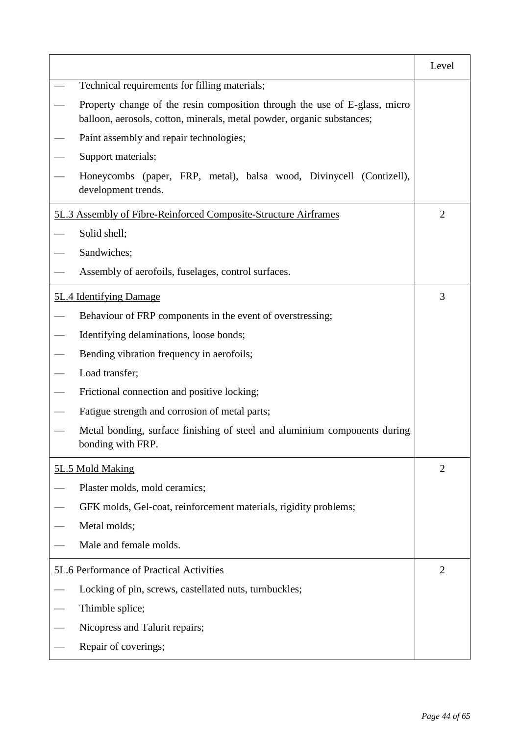|                                                                                                                                                      | Level          |
|------------------------------------------------------------------------------------------------------------------------------------------------------|----------------|
| Technical requirements for filling materials;                                                                                                        |                |
| Property change of the resin composition through the use of E-glass, micro<br>balloon, aerosols, cotton, minerals, metal powder, organic substances; |                |
| Paint assembly and repair technologies;                                                                                                              |                |
| Support materials;                                                                                                                                   |                |
| Honeycombs (paper, FRP, metal), balsa wood, Divinycell (Contizell),<br>development trends.                                                           |                |
| 5L.3 Assembly of Fibre-Reinforced Composite-Structure Airframes                                                                                      | $\overline{2}$ |
| Solid shell;                                                                                                                                         |                |
| Sandwiches;                                                                                                                                          |                |
| Assembly of aerofoils, fuselages, control surfaces.                                                                                                  |                |
| 5L.4 Identifying Damage                                                                                                                              | 3              |
| Behaviour of FRP components in the event of overstressing;                                                                                           |                |
| Identifying delaminations, loose bonds;                                                                                                              |                |
| Bending vibration frequency in aerofoils;                                                                                                            |                |
| Load transfer;                                                                                                                                       |                |
| Frictional connection and positive locking;                                                                                                          |                |
| Fatigue strength and corrosion of metal parts;                                                                                                       |                |
| Metal bonding, surface finishing of steel and aluminium components during<br>bonding with FRP.                                                       |                |
| 5L.5 Mold Making                                                                                                                                     | $\overline{2}$ |
| Plaster molds, mold ceramics;                                                                                                                        |                |
| GFK molds, Gel-coat, reinforcement materials, rigidity problems;                                                                                     |                |
| Metal molds;                                                                                                                                         |                |
| Male and female molds.                                                                                                                               |                |
| 5L.6 Performance of Practical Activities                                                                                                             | $\overline{2}$ |
| Locking of pin, screws, castellated nuts, turnbuckles;                                                                                               |                |
| Thimble splice;                                                                                                                                      |                |
| Nicopress and Talurit repairs;                                                                                                                       |                |
| Repair of coverings;                                                                                                                                 |                |
|                                                                                                                                                      |                |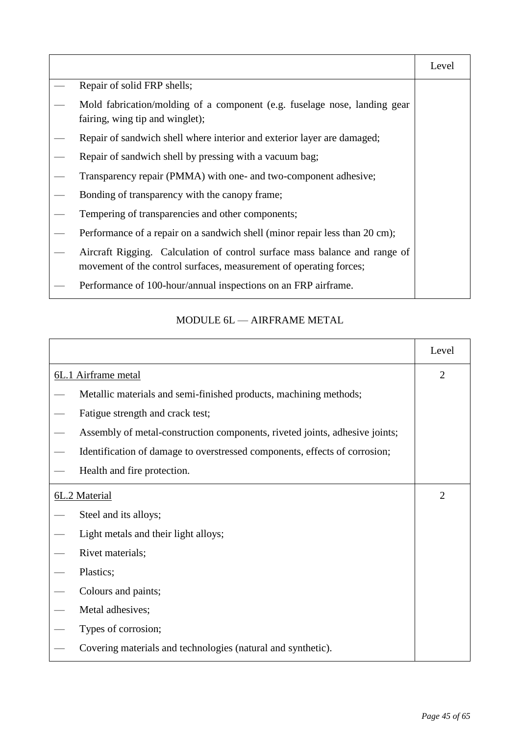|                                                                                                                                                  | Level |
|--------------------------------------------------------------------------------------------------------------------------------------------------|-------|
| Repair of solid FRP shells;                                                                                                                      |       |
| Mold fabrication/molding of a component (e.g. fuselage nose, landing gear<br>fairing, wing tip and winglet);                                     |       |
| Repair of sandwich shell where interior and exterior layer are damaged;                                                                          |       |
| Repair of sandwich shell by pressing with a vacuum bag;                                                                                          |       |
| Transparency repair (PMMA) with one- and two-component adhesive;                                                                                 |       |
| Bonding of transparency with the canopy frame;                                                                                                   |       |
| Tempering of transparencies and other components;                                                                                                |       |
| Performance of a repair on a sandwich shell (minor repair less than 20 cm);                                                                      |       |
| Aircraft Rigging. Calculation of control surface mass balance and range of<br>movement of the control surfaces, measurement of operating forces; |       |
| Performance of 100-hour/annual inspections on an FRP airframe.                                                                                   |       |

# MODULE 6L — AIRFRAME METAL

|               |                                                                             | Level          |
|---------------|-----------------------------------------------------------------------------|----------------|
|               | 6L.1 Airframe metal                                                         | $\overline{2}$ |
|               | Metallic materials and semi-finished products, machining methods;           |                |
|               | Fatigue strength and crack test;                                            |                |
|               | Assembly of metal-construction components, riveted joints, adhesive joints; |                |
|               | Identification of damage to overstressed components, effects of corrosion;  |                |
|               | Health and fire protection.                                                 |                |
| 6L.2 Material |                                                                             | $\overline{2}$ |
|               | Steel and its alloys;                                                       |                |
|               | Light metals and their light alloys;                                        |                |
|               | Rivet materials;                                                            |                |
|               | Plastics;                                                                   |                |
|               | Colours and paints;                                                         |                |
|               | Metal adhesives;                                                            |                |
|               | Types of corrosion;                                                         |                |
|               | Covering materials and technologies (natural and synthetic).                |                |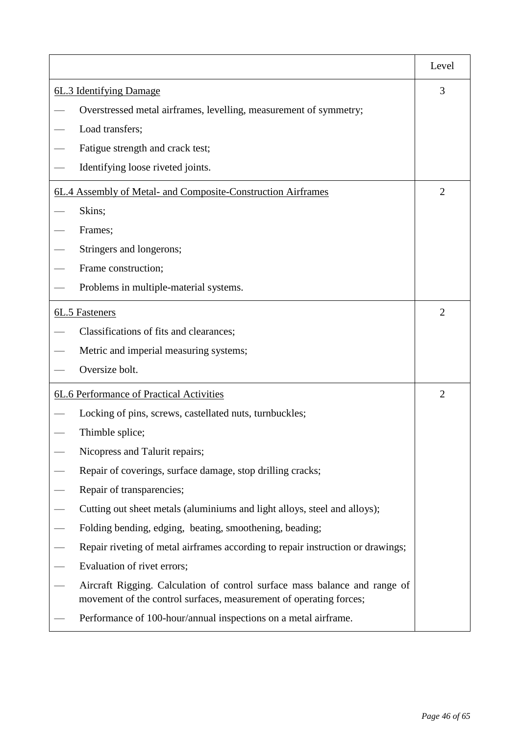|                         |                                                                                                                                                  | Level |
|-------------------------|--------------------------------------------------------------------------------------------------------------------------------------------------|-------|
| 6L.3 Identifying Damage |                                                                                                                                                  | 3     |
|                         | Overstressed metal airframes, levelling, measurement of symmetry;                                                                                |       |
|                         | Load transfers;                                                                                                                                  |       |
|                         | Fatigue strength and crack test;                                                                                                                 |       |
|                         | Identifying loose riveted joints.                                                                                                                |       |
|                         | 6L.4 Assembly of Metal- and Composite-Construction Airframes                                                                                     | 2     |
|                         | Skins;                                                                                                                                           |       |
|                         | Frames;                                                                                                                                          |       |
|                         | Stringers and longerons;                                                                                                                         |       |
|                         | Frame construction;                                                                                                                              |       |
|                         | Problems in multiple-material systems.                                                                                                           |       |
|                         | 6L.5 Fasteners                                                                                                                                   | 2     |
|                         | Classifications of fits and clearances;                                                                                                          |       |
|                         | Metric and imperial measuring systems;                                                                                                           |       |
|                         | Oversize bolt.                                                                                                                                   |       |
|                         | 6L.6 Performance of Practical Activities                                                                                                         | 2     |
|                         | Locking of pins, screws, castellated nuts, turnbuckles;                                                                                          |       |
|                         | Thimble splice;                                                                                                                                  |       |
|                         | Nicopress and Talurit repairs;                                                                                                                   |       |
|                         | Repair of coverings, surface damage, stop drilling cracks;                                                                                       |       |
|                         | Repair of transparencies;                                                                                                                        |       |
|                         | Cutting out sheet metals (aluminiums and light alloys, steel and alloys);                                                                        |       |
|                         | Folding bending, edging, beating, smoothening, beading;                                                                                          |       |
|                         | Repair riveting of metal airframes according to repair instruction or drawings;                                                                  |       |
|                         | Evaluation of rivet errors;                                                                                                                      |       |
|                         | Aircraft Rigging. Calculation of control surface mass balance and range of<br>movement of the control surfaces, measurement of operating forces; |       |
|                         | Performance of 100-hour/annual inspections on a metal airframe.                                                                                  |       |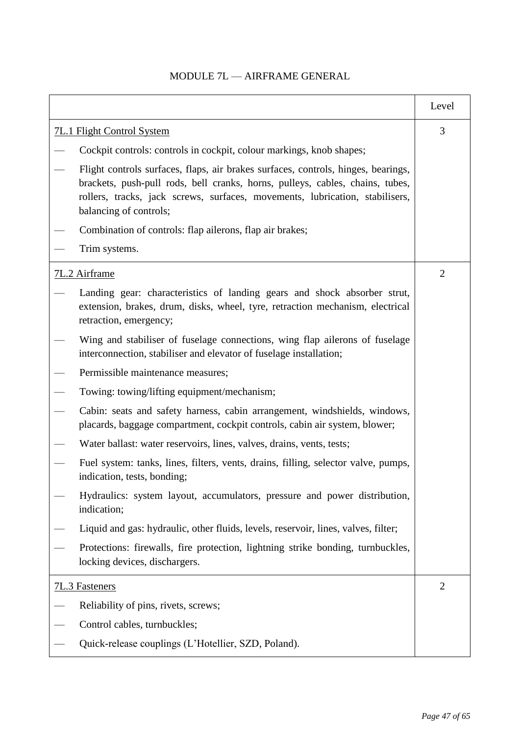# Level 7L.1 Flight Control System — Cockpit controls: controls in cockpit, colour markings, knob shapes; — Flight controls surfaces, flaps, air brakes surfaces, controls, hinges, bearings, brackets, push-pull rods, bell cranks, horns, pulleys, cables, chains, tubes, rollers, tracks, jack screws, surfaces, movements, lubrication, stabilisers, balancing of controls; Combination of controls: flap ailerons, flap air brakes; — Trim systems. 3 7L.2 Airframe — Landing gear: characteristics of landing gears and shock absorber strut, extension, brakes, drum, disks, wheel, tyre, retraction mechanism, electrical retraction, emergency; Wing and stabiliser of fuselage connections, wing flap ailerons of fuselage interconnection, stabiliser and elevator of fuselage installation; Permissible maintenance measures: — Towing: towing/lifting equipment/mechanism; — Cabin: seats and safety harness, cabin arrangement, windshields, windows, placards, baggage compartment, cockpit controls, cabin air system, blower; Water ballast: water reservoirs, lines, valves, drains, vents, tests; — Fuel system: tanks, lines, filters, vents, drains, filling, selector valve, pumps, indication, tests, bonding; — Hydraulics: system layout, accumulators, pressure and power distribution, indication; — Liquid and gas: hydraulic, other fluids, levels, reservoir, lines, valves, filter; — Protections: firewalls, fire protection, lightning strike bonding, turnbuckles, locking devices, dischargers.  $\mathcal{L}$ 7L.3 Fasteners Reliability of pins, rivets, screws; Control cables, turnbuckles; — Quick-release couplings (L'Hotellier, SZD, Poland).  $\mathcal{L}$

## MODULE 7L — AIRFRAME GENERAL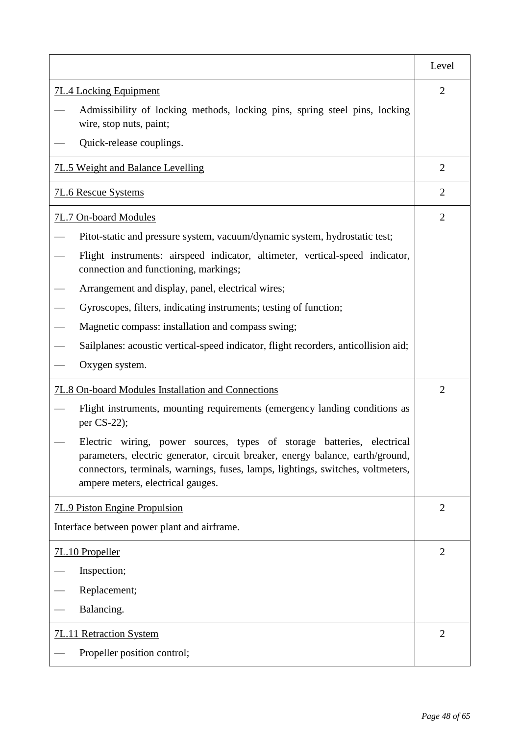|                                                                                                                                                                                                                                                                                     | Level          |
|-------------------------------------------------------------------------------------------------------------------------------------------------------------------------------------------------------------------------------------------------------------------------------------|----------------|
| <b>7L.4 Locking Equipment</b>                                                                                                                                                                                                                                                       |                |
| Admissibility of locking methods, locking pins, spring steel pins, locking<br>wire, stop nuts, paint;                                                                                                                                                                               |                |
| Quick-release couplings.                                                                                                                                                                                                                                                            |                |
| 7L.5 Weight and Balance Levelling                                                                                                                                                                                                                                                   | $\overline{2}$ |
| <b>7L.6 Rescue Systems</b>                                                                                                                                                                                                                                                          | $\overline{2}$ |
| 7L.7 On-board Modules                                                                                                                                                                                                                                                               | $\overline{2}$ |
| Pitot-static and pressure system, vacuum/dynamic system, hydrostatic test;                                                                                                                                                                                                          |                |
| Flight instruments: airspeed indicator, altimeter, vertical-speed indicator,<br>connection and functioning, markings;                                                                                                                                                               |                |
| Arrangement and display, panel, electrical wires;                                                                                                                                                                                                                                   |                |
| Gyroscopes, filters, indicating instruments; testing of function;                                                                                                                                                                                                                   |                |
| Magnetic compass: installation and compass swing;                                                                                                                                                                                                                                   |                |
| Sailplanes: acoustic vertical-speed indicator, flight recorders, anticollision aid;                                                                                                                                                                                                 |                |
| Oxygen system.                                                                                                                                                                                                                                                                      |                |
| 7L.8 On-board Modules Installation and Connections                                                                                                                                                                                                                                  |                |
| Flight instruments, mounting requirements (emergency landing conditions as<br>per $CS-22$ ;                                                                                                                                                                                         |                |
| Electric wiring, power<br>sources, types of storage batteries, electrical<br>parameters, electric generator, circuit breaker, energy balance, earth/ground,<br>connectors, terminals, warnings, fuses, lamps, lightings, switches, voltmeters,<br>ampere meters, electrical gauges. |                |
| <b>7L.9 Piston Engine Propulsion</b>                                                                                                                                                                                                                                                | $\overline{2}$ |
| Interface between power plant and airframe.                                                                                                                                                                                                                                         |                |
| 7L.10 Propeller                                                                                                                                                                                                                                                                     | $\overline{2}$ |
| Inspection;                                                                                                                                                                                                                                                                         |                |
| Replacement;                                                                                                                                                                                                                                                                        |                |
| Balancing.                                                                                                                                                                                                                                                                          |                |
| 7L.11 Retraction System                                                                                                                                                                                                                                                             | $\overline{2}$ |
| Propeller position control;                                                                                                                                                                                                                                                         |                |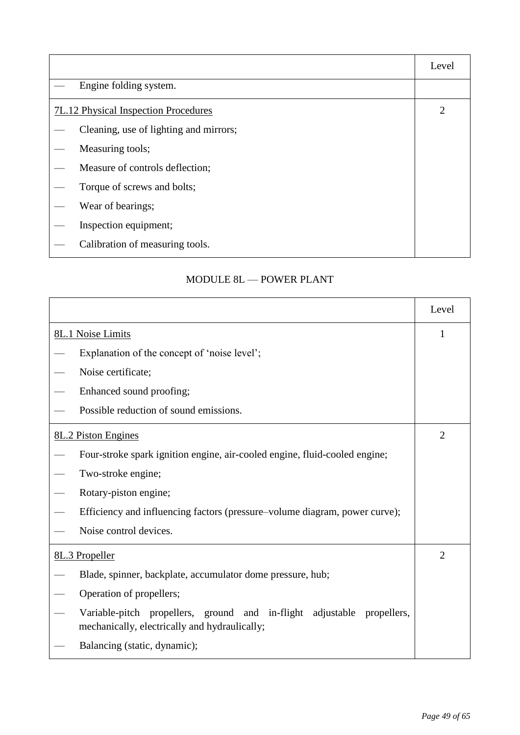|                                        | Level          |
|----------------------------------------|----------------|
| Engine folding system.                 |                |
| 7L.12 Physical Inspection Procedures   | $\overline{2}$ |
| Cleaning, use of lighting and mirrors; |                |
| Measuring tools;                       |                |
| Measure of controls deflection;        |                |
| Torque of screws and bolts;            |                |
| Wear of bearings;                      |                |
| Inspection equipment;                  |                |
| Calibration of measuring tools.        |                |

# MODULE 8L — POWER PLANT

|                                                                                                                         | Level          |
|-------------------------------------------------------------------------------------------------------------------------|----------------|
| 8L.1 Noise Limits                                                                                                       | 1              |
| Explanation of the concept of 'noise level';                                                                            |                |
| Noise certificate;                                                                                                      |                |
| Enhanced sound proofing;                                                                                                |                |
| Possible reduction of sound emissions.                                                                                  |                |
| 8L.2 Piston Engines                                                                                                     | $\overline{2}$ |
| Four-stroke spark ignition engine, air-cooled engine, fluid-cooled engine;                                              |                |
| Two-stroke engine;                                                                                                      |                |
| Rotary-piston engine;                                                                                                   |                |
| Efficiency and influencing factors (pressure–volume diagram, power curve);                                              |                |
| Noise control devices.                                                                                                  |                |
| 8L.3 Propeller                                                                                                          | $\overline{2}$ |
| Blade, spinner, backplate, accumulator dome pressure, hub;                                                              |                |
| Operation of propellers;                                                                                                |                |
| Variable-pitch propellers, ground and in-flight adjustable propellers,<br>mechanically, electrically and hydraulically; |                |
| Balancing (static, dynamic);                                                                                            |                |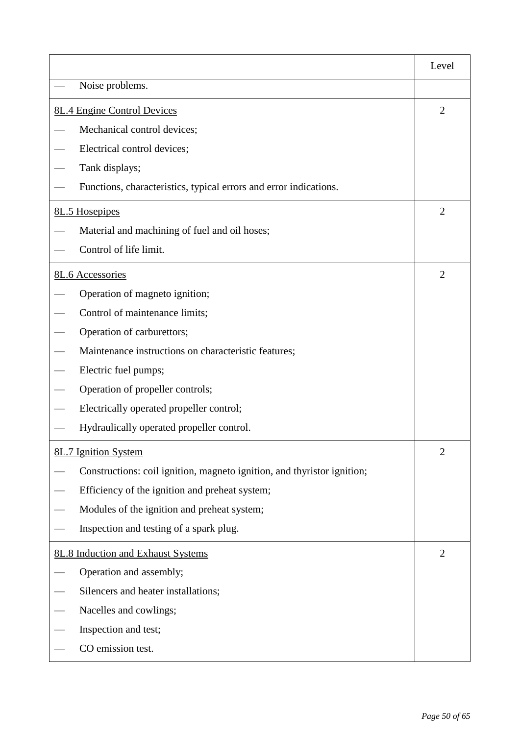|                                                                         | Level          |
|-------------------------------------------------------------------------|----------------|
| Noise problems.                                                         |                |
| <b>8L.4 Engine Control Devices</b>                                      | $\overline{2}$ |
| Mechanical control devices;                                             |                |
| Electrical control devices;                                             |                |
| Tank displays;                                                          |                |
| Functions, characteristics, typical errors and error indications.       |                |
| 8L.5 Hosepipes                                                          | $\overline{2}$ |
| Material and machining of fuel and oil hoses;                           |                |
| Control of life limit.                                                  |                |
| 8L.6 Accessories                                                        | $\overline{2}$ |
| Operation of magneto ignition;                                          |                |
| Control of maintenance limits;                                          |                |
| Operation of carburettors;                                              |                |
| Maintenance instructions on characteristic features;                    |                |
| Electric fuel pumps;                                                    |                |
| Operation of propeller controls;                                        |                |
| Electrically operated propeller control;                                |                |
| Hydraulically operated propeller control.                               |                |
| 8L.7 Ignition System                                                    | $\mathfrak{2}$ |
| Constructions: coil ignition, magneto ignition, and thyristor ignition; |                |
| Efficiency of the ignition and preheat system;                          |                |
| Modules of the ignition and preheat system;                             |                |
| Inspection and testing of a spark plug.                                 |                |
| 8L.8 Induction and Exhaust Systems                                      |                |
| Operation and assembly;                                                 |                |
| Silencers and heater installations;                                     |                |
| Nacelles and cowlings;                                                  |                |
| Inspection and test;                                                    |                |
| CO emission test.                                                       |                |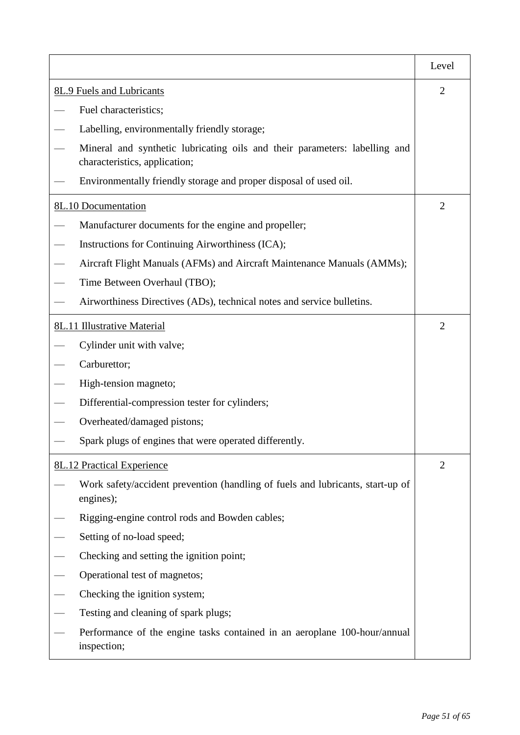|                           |                                                                                                             | Level          |
|---------------------------|-------------------------------------------------------------------------------------------------------------|----------------|
| 8L.9 Fuels and Lubricants |                                                                                                             | $\overline{2}$ |
|                           | Fuel characteristics;                                                                                       |                |
|                           | Labelling, environmentally friendly storage;                                                                |                |
|                           | Mineral and synthetic lubricating oils and their parameters: labelling and<br>characteristics, application; |                |
|                           | Environmentally friendly storage and proper disposal of used oil.                                           |                |
|                           | 8L.10 Documentation                                                                                         | $\overline{2}$ |
|                           | Manufacturer documents for the engine and propeller;                                                        |                |
|                           | Instructions for Continuing Airworthiness (ICA);                                                            |                |
|                           | Aircraft Flight Manuals (AFMs) and Aircraft Maintenance Manuals (AMMs);                                     |                |
|                           | Time Between Overhaul (TBO);                                                                                |                |
|                           | Airworthiness Directives (ADs), technical notes and service bulletins.                                      |                |
|                           | 8L.11 Illustrative Material                                                                                 | 2              |
|                           | Cylinder unit with valve;                                                                                   |                |
|                           | Carburettor;                                                                                                |                |
|                           | High-tension magneto;                                                                                       |                |
|                           | Differential-compression tester for cylinders;                                                              |                |
|                           | Overheated/damaged pistons;                                                                                 |                |
|                           | Spark plugs of engines that were operated differently.                                                      |                |
|                           | <b>8L.12 Practical Experience</b>                                                                           | $\overline{2}$ |
|                           | Work safety/accident prevention (handling of fuels and lubricants, start-up of<br>engines);                 |                |
|                           | Rigging-engine control rods and Bowden cables;                                                              |                |
|                           | Setting of no-load speed;                                                                                   |                |
|                           | Checking and setting the ignition point;                                                                    |                |
|                           | Operational test of magnetos;                                                                               |                |
|                           | Checking the ignition system;                                                                               |                |
|                           | Testing and cleaning of spark plugs;                                                                        |                |
|                           | Performance of the engine tasks contained in an aeroplane 100-hour/annual<br>inspection;                    |                |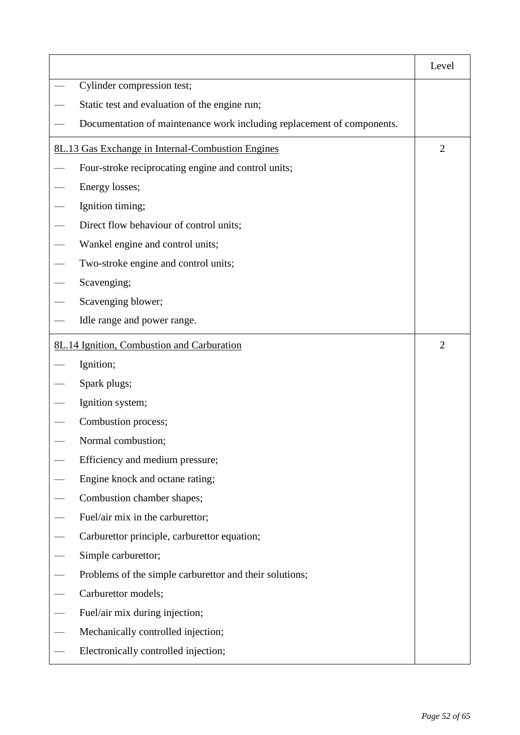|                                                                        | Level          |
|------------------------------------------------------------------------|----------------|
| Cylinder compression test;                                             |                |
| Static test and evaluation of the engine run;                          |                |
| Documentation of maintenance work including replacement of components. |                |
| 8L.13 Gas Exchange in Internal-Combustion Engines                      | $\overline{2}$ |
| Four-stroke reciprocating engine and control units;                    |                |
| Energy losses;                                                         |                |
| Ignition timing;                                                       |                |
| Direct flow behaviour of control units;                                |                |
| Wankel engine and control units;                                       |                |
| Two-stroke engine and control units;                                   |                |
| Scavenging;                                                            |                |
| Scavenging blower;                                                     |                |
| Idle range and power range.                                            |                |
| 8L.14 Ignition, Combustion and Carburation                             | $\overline{2}$ |
| Ignition;                                                              |                |
| Spark plugs;                                                           |                |
| Ignition system;                                                       |                |
| Combustion process;                                                    |                |
| Normal combustion;                                                     |                |
| Efficiency and medium pressure;                                        |                |
| Engine knock and octane rating;                                        |                |
| Combustion chamber shapes;                                             |                |
| Fuel/air mix in the carburettor;                                       |                |
| Carburettor principle, carburettor equation;                           |                |
| Simple carburettor;                                                    |                |
| Problems of the simple carburettor and their solutions;                |                |
| Carburettor models;                                                    |                |
| Fuel/air mix during injection;                                         |                |
| Mechanically controlled injection;                                     |                |
| Electronically controlled injection;                                   |                |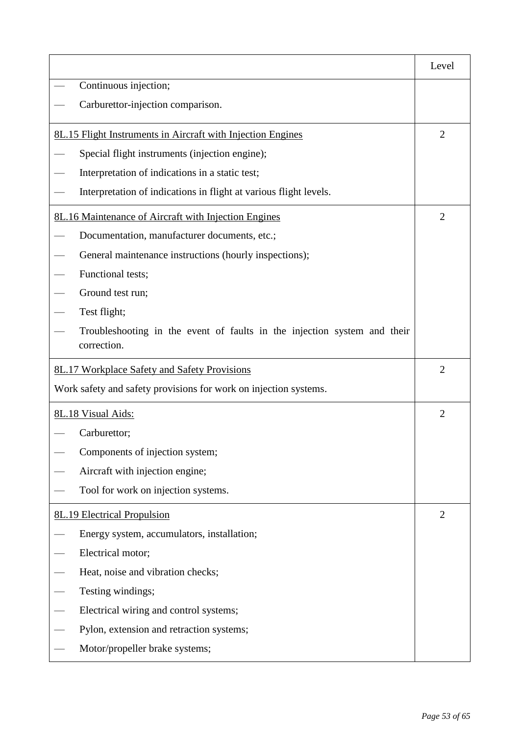|                                                                                         | Level          |
|-----------------------------------------------------------------------------------------|----------------|
| Continuous injection;                                                                   |                |
| Carburettor-injection comparison.                                                       |                |
| <u><b>8L.15 Flight Instruments in Aircraft with Injection Engines</b></u>               | $\overline{2}$ |
| Special flight instruments (injection engine);                                          |                |
| Interpretation of indications in a static test;                                         |                |
| Interpretation of indications in flight at various flight levels.                       |                |
| 8L.16 Maintenance of Aircraft with Injection Engines                                    | 2              |
| Documentation, manufacturer documents, etc.;                                            |                |
| General maintenance instructions (hourly inspections);                                  |                |
| Functional tests;                                                                       |                |
| Ground test run;                                                                        |                |
| Test flight;                                                                            |                |
| Troubleshooting in the event of faults in the injection system and their<br>correction. |                |
| 8L.17 Workplace Safety and Safety Provisions                                            |                |
| Work safety and safety provisions for work on injection systems.                        |                |
| 8L.18 Visual Aids:                                                                      | $\overline{2}$ |
| Carburettor;                                                                            |                |
| Components of injection system;                                                         |                |
| Aircraft with injection engine;                                                         |                |
| Tool for work on injection systems.                                                     |                |
| <b>8L.19 Electrical Propulsion</b>                                                      | $\overline{2}$ |
| Energy system, accumulators, installation;                                              |                |
| Electrical motor;                                                                       |                |
| Heat, noise and vibration checks;                                                       |                |
| Testing windings;                                                                       |                |
| Electrical wiring and control systems;                                                  |                |
| Pylon, extension and retraction systems;                                                |                |
| Motor/propeller brake systems;                                                          |                |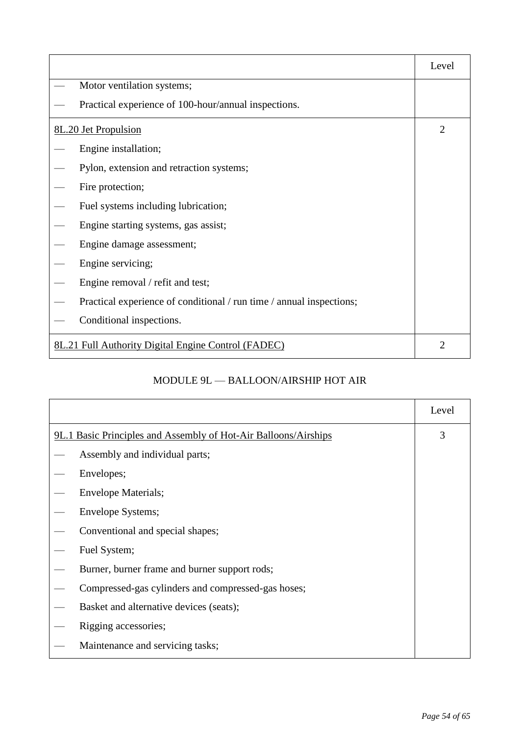|                                                                      | Level          |
|----------------------------------------------------------------------|----------------|
| Motor ventilation systems;                                           |                |
| Practical experience of 100-hour/annual inspections.                 |                |
| 8L.20 Jet Propulsion                                                 | $\overline{2}$ |
| Engine installation;                                                 |                |
| Pylon, extension and retraction systems;                             |                |
| Fire protection;                                                     |                |
| Fuel systems including lubrication;                                  |                |
| Engine starting systems, gas assist;                                 |                |
| Engine damage assessment;                                            |                |
| Engine servicing;                                                    |                |
| Engine removal / refit and test;                                     |                |
| Practical experience of conditional / run time / annual inspections; |                |
| Conditional inspections.                                             |                |
| 8L.21 Full Authority Digital Engine Control (FADEC)                  | 2              |

# MODULE 9L — BALLOON/AIRSHIP HOT AIR

|                                                                 | Level |
|-----------------------------------------------------------------|-------|
| 9L.1 Basic Principles and Assembly of Hot-Air Balloons/Airships | 3     |
| Assembly and individual parts;                                  |       |
| Envelopes;                                                      |       |
| <b>Envelope Materials;</b>                                      |       |
| Envelope Systems;                                               |       |
| Conventional and special shapes;                                |       |
| Fuel System;                                                    |       |
| Burner, burner frame and burner support rods;                   |       |
| Compressed-gas cylinders and compressed-gas hoses;              |       |
| Basket and alternative devices (seats);                         |       |
| Rigging accessories;                                            |       |
| Maintenance and servicing tasks;                                |       |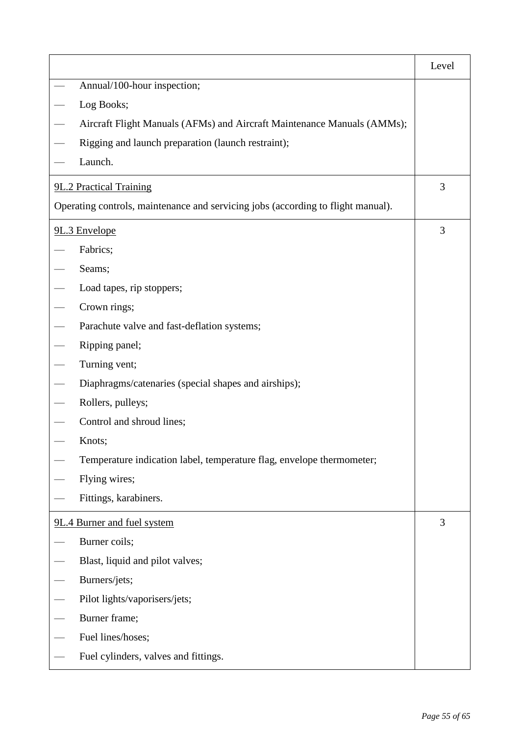|                                                                                  | Level |
|----------------------------------------------------------------------------------|-------|
| Annual/100-hour inspection;                                                      |       |
| Log Books;                                                                       |       |
| Aircraft Flight Manuals (AFMs) and Aircraft Maintenance Manuals (AMMs);          |       |
| Rigging and launch preparation (launch restraint);                               |       |
| Launch.                                                                          |       |
| 9L.2 Practical Training                                                          |       |
| Operating controls, maintenance and servicing jobs (according to flight manual). |       |
| 9L.3 Envelope                                                                    | 3     |
| Fabrics;                                                                         |       |
| Seams;                                                                           |       |
| Load tapes, rip stoppers;                                                        |       |
| Crown rings;                                                                     |       |
| Parachute valve and fast-deflation systems;                                      |       |
| Ripping panel;                                                                   |       |
| Turning vent;                                                                    |       |
| Diaphragms/catenaries (special shapes and airships);                             |       |
| Rollers, pulleys;                                                                |       |
| Control and shroud lines;                                                        |       |
| Knots;                                                                           |       |
| Temperature indication label, temperature flag, envelope thermometer;            |       |
| Flying wires;                                                                    |       |
| Fittings, karabiners.                                                            |       |
| 9L.4 Burner and fuel system                                                      | 3     |
| Burner coils;                                                                    |       |
| Blast, liquid and pilot valves;                                                  |       |
| Burners/jets;                                                                    |       |
| Pilot lights/vaporisers/jets;                                                    |       |
| Burner frame;                                                                    |       |
| Fuel lines/hoses;                                                                |       |
| Fuel cylinders, valves and fittings.                                             |       |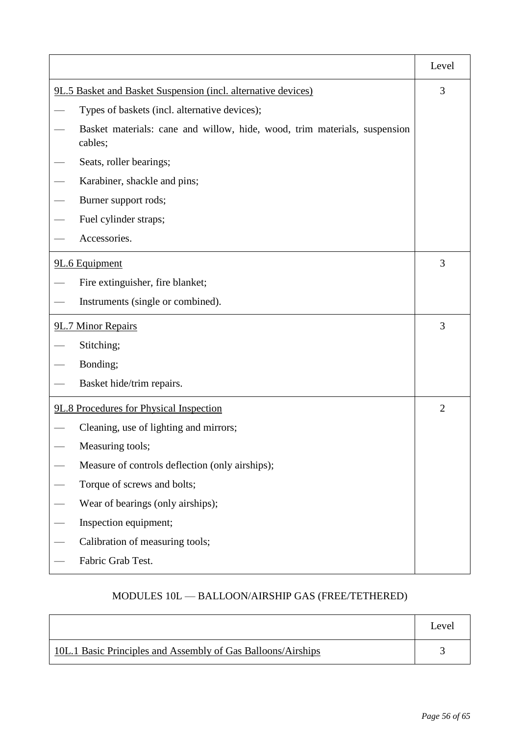|                                                                                      | Level          |  |
|--------------------------------------------------------------------------------------|----------------|--|
| 9L.5 Basket and Basket Suspension (incl. alternative devices)                        |                |  |
| Types of baskets (incl. alternative devices);                                        |                |  |
| Basket materials: cane and willow, hide, wood, trim materials, suspension<br>cables; |                |  |
| Seats, roller bearings;                                                              |                |  |
| Karabiner, shackle and pins;                                                         |                |  |
| Burner support rods;                                                                 |                |  |
| Fuel cylinder straps;                                                                |                |  |
| Accessories.                                                                         |                |  |
| 9L.6 Equipment                                                                       | 3              |  |
| Fire extinguisher, fire blanket;                                                     |                |  |
| Instruments (single or combined).                                                    |                |  |
| 9L.7 Minor Repairs                                                                   |                |  |
| Stitching;                                                                           |                |  |
| Bonding;                                                                             |                |  |
| Basket hide/trim repairs.                                                            |                |  |
| 9L.8 Procedures for Physical Inspection                                              | $\overline{2}$ |  |
| Cleaning, use of lighting and mirrors;                                               |                |  |
| Measuring tools;                                                                     |                |  |
| Measure of controls deflection (only airships);                                      |                |  |
| Torque of screws and bolts;                                                          |                |  |
| Wear of bearings (only airships);                                                    |                |  |
| Inspection equipment;                                                                |                |  |
| Calibration of measuring tools;                                                      |                |  |
| Fabric Grab Test.                                                                    |                |  |

# MODULES 10L — BALLOON/AIRSHIP GAS (FREE/TETHERED)

|                                                              | Level |
|--------------------------------------------------------------|-------|
| 10L.1 Basic Principles and Assembly of Gas Balloons/Airships |       |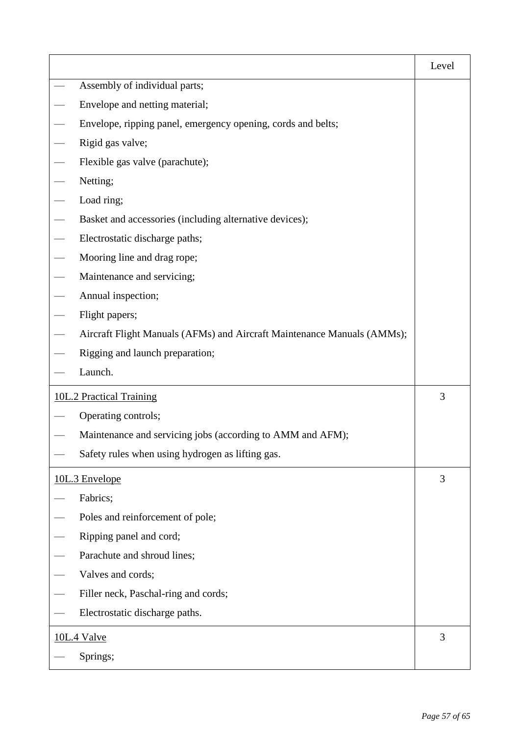|                                 |                                                                         | Level |
|---------------------------------|-------------------------------------------------------------------------|-------|
| Assembly of individual parts;   |                                                                         |       |
|                                 | Envelope and netting material;                                          |       |
|                                 | Envelope, ripping panel, emergency opening, cords and belts;            |       |
|                                 | Rigid gas valve;                                                        |       |
|                                 | Flexible gas valve (parachute);                                         |       |
|                                 | Netting;                                                                |       |
|                                 | Load ring;                                                              |       |
|                                 | Basket and accessories (including alternative devices);                 |       |
|                                 | Electrostatic discharge paths;                                          |       |
|                                 | Mooring line and drag rope;                                             |       |
|                                 | Maintenance and servicing;                                              |       |
|                                 | Annual inspection;                                                      |       |
|                                 | Flight papers;                                                          |       |
|                                 | Aircraft Flight Manuals (AFMs) and Aircraft Maintenance Manuals (AMMs); |       |
|                                 | Rigging and launch preparation;                                         |       |
|                                 | Launch.                                                                 |       |
| <b>10L.2 Practical Training</b> |                                                                         |       |
|                                 | Operating controls;                                                     |       |
|                                 | Maintenance and servicing jobs (according to AMM and AFM);              |       |
|                                 | Safety rules when using hydrogen as lifting gas.                        |       |
|                                 | 10L.3 Envelope                                                          | 3     |
|                                 | Fabrics;                                                                |       |
|                                 | Poles and reinforcement of pole;                                        |       |
|                                 | Ripping panel and cord;                                                 |       |
|                                 | Parachute and shroud lines;                                             |       |
|                                 | Valves and cords;                                                       |       |
|                                 | Filler neck, Paschal-ring and cords;                                    |       |
|                                 | Electrostatic discharge paths.                                          |       |
| <b>10L.4 Valve</b>              |                                                                         |       |
|                                 | Springs;                                                                |       |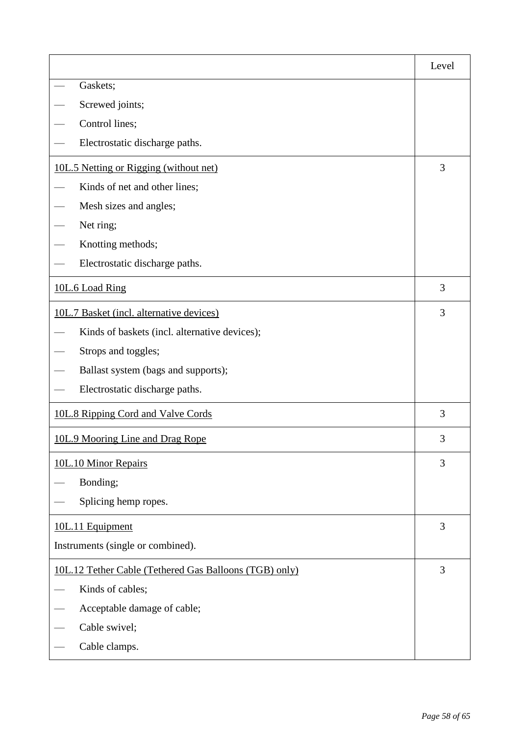|                                                        | Level |  |
|--------------------------------------------------------|-------|--|
| Gaskets;                                               |       |  |
| Screwed joints;                                        |       |  |
| Control lines;                                         |       |  |
| Electrostatic discharge paths.                         |       |  |
| 10L.5 Netting or Rigging (without net)                 | 3     |  |
| Kinds of net and other lines;                          |       |  |
| Mesh sizes and angles;                                 |       |  |
| Net ring;                                              |       |  |
| Knotting methods;                                      |       |  |
| Electrostatic discharge paths.                         |       |  |
| 10L.6 Load Ring                                        | 3     |  |
| 10L.7 Basket (incl. alternative devices)               | 3     |  |
| Kinds of baskets (incl. alternative devices);          |       |  |
| Strops and toggles;                                    |       |  |
| Ballast system (bags and supports);                    |       |  |
| Electrostatic discharge paths.                         |       |  |
| 10L.8 Ripping Cord and Valve Cords                     |       |  |
| 10L.9 Mooring Line and Drag Rope                       | 3     |  |
| 10L.10 Minor Repairs                                   | 3     |  |
| Bonding;                                               |       |  |
| Splicing hemp ropes.                                   |       |  |
| 10L.11 Equipment                                       |       |  |
| Instruments (single or combined).                      |       |  |
| 10L.12 Tether Cable (Tethered Gas Balloons (TGB) only) |       |  |
| Kinds of cables;                                       |       |  |
| Acceptable damage of cable;                            |       |  |
| Cable swivel;                                          |       |  |
| Cable clamps.                                          |       |  |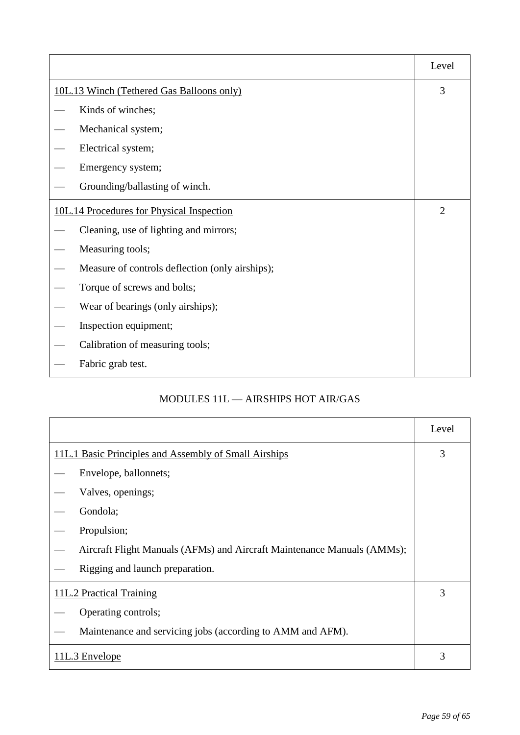|                                                 | Level          |
|-------------------------------------------------|----------------|
| 10L.13 Winch (Tethered Gas Balloons only)       |                |
| Kinds of winches;                               |                |
| Mechanical system;                              |                |
| Electrical system;                              |                |
| Emergency system;                               |                |
| Grounding/ballasting of winch.                  |                |
| 10L.14 Procedures for Physical Inspection       | $\overline{2}$ |
| Cleaning, use of lighting and mirrors;          |                |
| Measuring tools;                                |                |
| Measure of controls deflection (only airships); |                |
| Torque of screws and bolts;                     |                |
| Wear of bearings (only airships);               |                |
| Inspection equipment;                           |                |
| Calibration of measuring tools;                 |                |
| Fabric grab test.                               |                |

# MODULES 11L — AIRSHIPS HOT AIR/GAS

|                                                                         | Level |
|-------------------------------------------------------------------------|-------|
| 11L.1 Basic Principles and Assembly of Small Airships                   | 3     |
| Envelope, ballonnets;                                                   |       |
| Valves, openings;                                                       |       |
| Gondola;                                                                |       |
| Propulsion;                                                             |       |
| Aircraft Flight Manuals (AFMs) and Aircraft Maintenance Manuals (AMMs); |       |
| Rigging and launch preparation.                                         |       |
| 11L.2 Practical Training                                                | 3     |
| Operating controls;                                                     |       |
| Maintenance and servicing jobs (according to AMM and AFM).              |       |
| 11L.3 Envelope                                                          |       |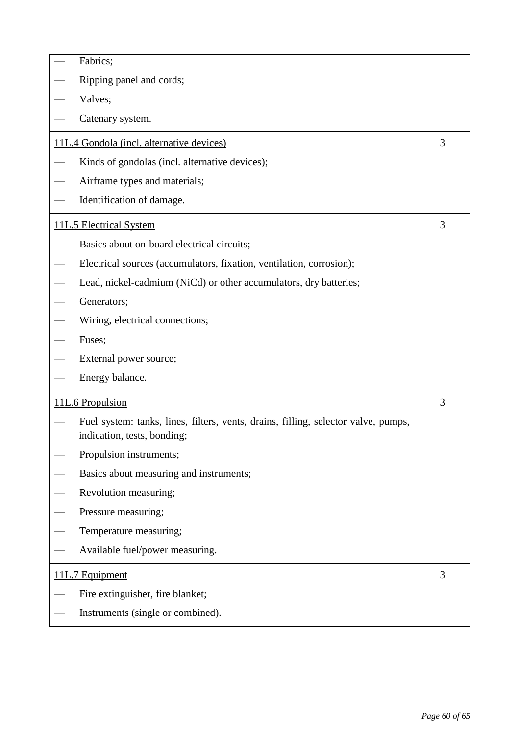|                                           | Fabrics;                                                                                                          |   |  |  |
|-------------------------------------------|-------------------------------------------------------------------------------------------------------------------|---|--|--|
|                                           | Ripping panel and cords;                                                                                          |   |  |  |
|                                           | Valves;                                                                                                           |   |  |  |
|                                           | Catenary system.                                                                                                  |   |  |  |
| 11L.4 Gondola (incl. alternative devices) |                                                                                                                   |   |  |  |
|                                           | Kinds of gondolas (incl. alternative devices);                                                                    |   |  |  |
|                                           | Airframe types and materials;                                                                                     |   |  |  |
|                                           | Identification of damage.                                                                                         |   |  |  |
|                                           | 11L.5 Electrical System                                                                                           | 3 |  |  |
|                                           | Basics about on-board electrical circuits;                                                                        |   |  |  |
|                                           | Electrical sources (accumulators, fixation, ventilation, corrosion);                                              |   |  |  |
|                                           | Lead, nickel-cadmium (NiCd) or other accumulators, dry batteries;                                                 |   |  |  |
|                                           | Generators;                                                                                                       |   |  |  |
|                                           | Wiring, electrical connections;                                                                                   |   |  |  |
|                                           | Fuses;                                                                                                            |   |  |  |
| External power source;                    |                                                                                                                   |   |  |  |
|                                           | Energy balance.                                                                                                   |   |  |  |
|                                           | 11L.6 Propulsion                                                                                                  | 3 |  |  |
|                                           | Fuel system: tanks, lines, filters, vents, drains, filling, selector valve, pumps,<br>indication, tests, bonding; |   |  |  |
|                                           | Propulsion instruments;                                                                                           |   |  |  |
|                                           | Basics about measuring and instruments;                                                                           |   |  |  |
|                                           | Revolution measuring;                                                                                             |   |  |  |
|                                           | Pressure measuring;                                                                                               |   |  |  |
|                                           | Temperature measuring;                                                                                            |   |  |  |
|                                           | Available fuel/power measuring.                                                                                   |   |  |  |
|                                           | 11L.7 Equipment                                                                                                   | 3 |  |  |
|                                           | Fire extinguisher, fire blanket;                                                                                  |   |  |  |
|                                           | Instruments (single or combined).                                                                                 |   |  |  |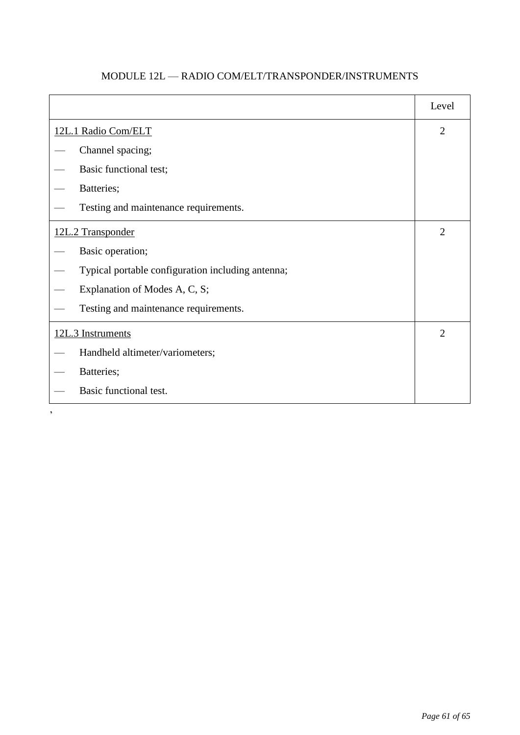|                                                   | Level          |
|---------------------------------------------------|----------------|
| 12L.1 Radio Com/ELT                               |                |
| Channel spacing;                                  |                |
| Basic functional test;                            |                |
| Batteries;                                        |                |
| Testing and maintenance requirements.             |                |
| 12L.2 Transponder                                 |                |
| Basic operation;                                  |                |
| Typical portable configuration including antenna; |                |
| Explanation of Modes A, C, S;                     |                |
| Testing and maintenance requirements.             |                |
| 12L.3 Instruments                                 | $\overline{2}$ |
| Handheld altimeter/variometers;                   |                |
| Batteries;                                        |                |
| Basic functional test.                            |                |

# MODULE 12L — RADIO COM/ELT/TRANSPONDER/INSTRUMENTS

 $\overline{\phantom{a}}$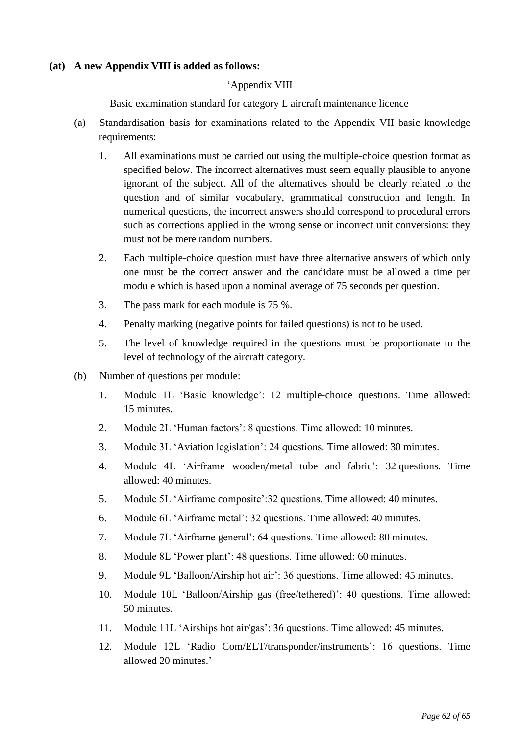#### **(at) A new Appendix VIII is added as follows:**

#### 'Appendix VIII

Basic examination standard for category L aircraft maintenance licence

- (a) Standardisation basis for examinations related to the Appendix VII basic knowledge requirements:
	- 1. All examinations must be carried out using the multiple-choice question format as specified below. The incorrect alternatives must seem equally plausible to anyone ignorant of the subject. All of the alternatives should be clearly related to the question and of similar vocabulary, grammatical construction and length. In numerical questions, the incorrect answers should correspond to procedural errors such as corrections applied in the wrong sense or incorrect unit conversions: they must not be mere random numbers.
	- 2. Each multiple-choice question must have three alternative answers of which only one must be the correct answer and the candidate must be allowed a time per module which is based upon a nominal average of 75 seconds per question.
	- 3. The pass mark for each module is 75 %.
	- 4. Penalty marking (negative points for failed questions) is not to be used.
	- 5. The level of knowledge required in the questions must be proportionate to the level of technology of the aircraft category.
- (b) Number of questions per module:
	- 1. Module 1L 'Basic knowledge': 12 multiple-choice questions. Time allowed: 15 minutes.
	- 2. Module 2L 'Human factors': 8 questions. Time allowed: 10 minutes.
	- 3. Module 3L 'Aviation legislation': 24 questions. Time allowed: 30 minutes.
	- 4. Module 4L 'Airframe wooden/metal tube and fabric': 32 questions. Time allowed: 40 minutes.
	- 5. Module 5L 'Airframe composite':32 questions. Time allowed: 40 minutes.
	- 6. Module 6L 'Airframe metal': 32 questions. Time allowed: 40 minutes.
	- 7. Module 7L 'Airframe general': 64 questions. Time allowed: 80 minutes.
	- 8. Module 8L 'Power plant': 48 questions. Time allowed: 60 minutes.
	- 9. Module 9L 'Balloon/Airship hot air': 36 questions. Time allowed: 45 minutes.
	- 10. Module 10L 'Balloon/Airship gas (free/tethered)': 40 questions. Time allowed: 50 minutes.
	- 11. Module 11L 'Airships hot air/gas': 36 questions. Time allowed: 45 minutes.
	- 12. Module 12L 'Radio Com/ELT/transponder/instruments': 16 questions. Time allowed 20 minutes.'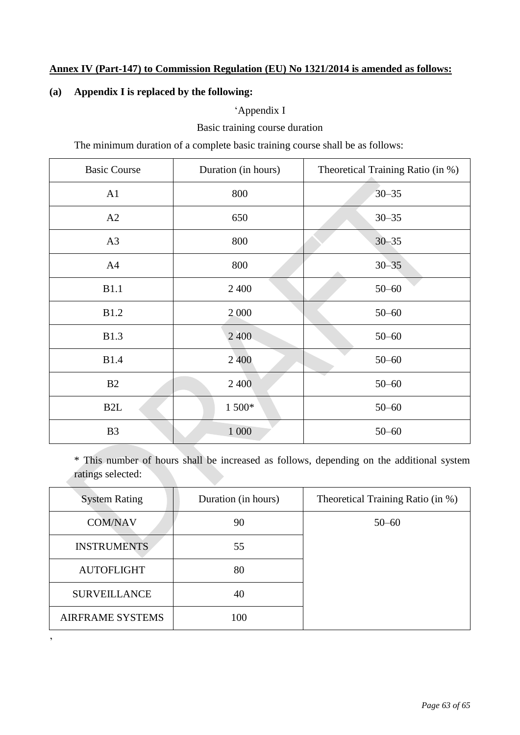# **Annex IV (Part-147) to Commission Regulation (EU) No 1321/2014 is amended as follows:**

### **(a) Appendix I is replaced by the following:**

'

### 'Appendix I

Basic training course duration

The minimum duration of a complete basic training course shall be as follows:

| <b>Basic Course</b> | Duration (in hours) | Theoretical Training Ratio (in %) |  |
|---------------------|---------------------|-----------------------------------|--|
| A1                  | 800                 | $30 - 35$                         |  |
| A2                  | 650                 | $30 - 35$                         |  |
| A3                  | 800                 | $30 - 35$                         |  |
| A4                  | 800                 | $30 - 35$                         |  |
| <b>B1.1</b>         | 2 4 0 0             | $50 - 60$                         |  |
| <b>B1.2</b>         | 2 0 0 0             | $50 - 60$                         |  |
| <b>B1.3</b>         | 2 400               | $50 - 60$                         |  |
| <b>B1.4</b>         | 2 400               | $50 - 60$                         |  |
| B2                  | 2 4 0 0             | $50 - 60$                         |  |
| B <sub>2</sub> L    | 1 500*              | $50 - 60$                         |  |
| B <sub>3</sub>      | 1 000               | $50 - 60$                         |  |

\* This number of hours shall be increased as follows, depending on the additional system ratings selected:

| <b>System Rating</b>    | Duration (in hours) | Theoretical Training Ratio (in %) |
|-------------------------|---------------------|-----------------------------------|
| <b>COM/NAV</b>          | 90                  | $50 - 60$                         |
| <b>INSTRUMENTS</b>      | 55                  |                                   |
| <b>AUTOFLIGHT</b>       | 80                  |                                   |
| <b>SURVEILLANCE</b>     | 40                  |                                   |
| <b>AIRFRAME SYSTEMS</b> | 100                 |                                   |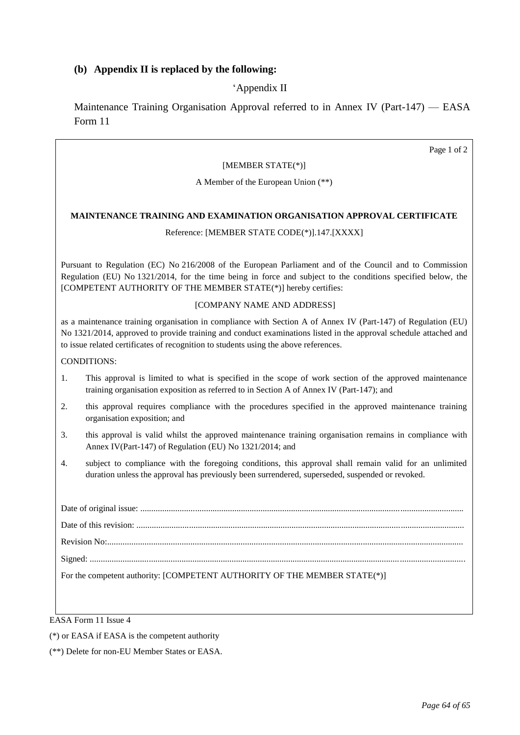### **(b) Appendix II is replaced by the following:**

### 'Appendix II

Maintenance Training Organisation Approval referred to in Annex IV (Part-147) — EASA Form 11

#### [MEMBER STATE(\*)]

A Member of the European Union (\*\*)

#### **MAINTENANCE TRAINING AND EXAMINATION ORGANISATION APPROVAL CERTIFICATE**

#### Reference: [MEMBER STATE CODE(\*)].147.[XXXX]

Pursuant to Regulation (EC) No 216/2008 of the European Parliament and of the Council and to Commission Regulation (EU) No 1321/2014, for the time being in force and subject to the conditions specified below, the [COMPETENT AUTHORITY OF THE MEMBER STATE(\*)] hereby certifies:

#### .[COMPANY NAME AND ADDRESS]

as a maintenance training organisation in compliance with Section A of Annex IV (Part-147) of Regulation (EU) No 1321/2014, approved to provide training and conduct examinations listed in the approval schedule attached and to issue related certificates of recognition to students using the above references.

#### CONDITIONS:

- 1.. This approval is limited to what is specified in the scope of work section of the approved maintenance training organisation exposition as referred to in Section A of Annex IV (Part-147); and
- 2.. this approval requires compliance with the procedures specified in the approved maintenance training organisation exposition; and
- 3.. this approval is valid whilst the approved maintenance training organisation remains in compliance with Annex IV(Part-147) of Regulation (EU) No 1321/2014; and
- 4.. subject to compliance with the foregoing conditions, this approval shall remain valid for an unlimited duration unless the approval has previously been surrendered, superseded, suspended or revoked.

EASA Form 11 Issue 4

(\*) or EASA if EASA is the competent authority

(\*\*) Delete for non-EU Member States or EASA.

Page 1 of 2